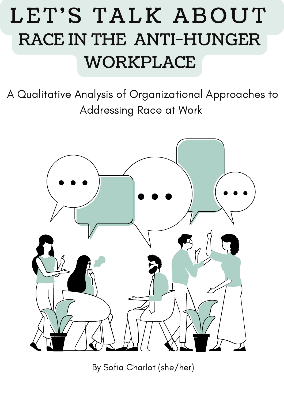# LET'S TALK ABOUT RACE IN THE ANTI-HUNGER WORKPLACE

A Qualitative Analysis of Organizational Approaches to Addressing Race at Work



By Sofia Charlot (she/her)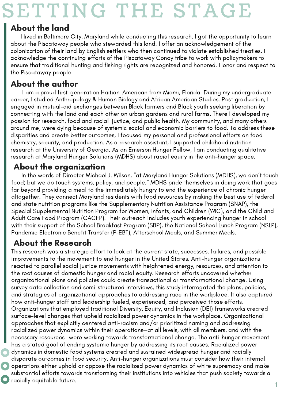# SETTING THE STAGE

### About the land

I lived in Baltimore City, Maryland while conducting this research. I got the opportunity to learn about the Piscataway people who stewarded this land. I offer an acknowledgement of the colonization of their land by English settlers who then continued to violate established treaties. I acknowledge the continuing efforts of the Piscataway Conoy tribe to work with policymakers to ensure that traditional hunting and fishing rights are recognized and honored. Honor and respect to the Piscataway people.

### About the author

[I](https://hungercenter.org/partners/maryland-hunger-solutions/) am a proud first-generation [Haitian-American](https://hungercenter.org/partners/maryland-hunger-solutions/) from Miami, Florida. During my undergraduate career, I studied Anthropology & Human Biology and African American Studies. Post graduation, I engaged in mutual-aid exchanges between Black farmers and Black youth seeking liberation by connecting with the land and each o[th](https://hungercenter.org/partners/maryland-hunger-solutions/)er on urban gardens and rural farms. There I developed my passion for research, food and racial justice, and public health. My community, and many others around me, were dying because of systemic social and economic barriers to food. To address these disparities and create better outcomes, I focused my personal and [professional](https://hungercenter.org/partners/maryland-hunger-solutions/) efforts on food chemistry, security, and production. As a research assistant, I supported childhood nutrition research at the University of Georgia. As an Emerson Hunger Fellow, I am conducting qualit[at](https://hungercenter.org/partners/maryland-hunger-solutions/)ive research at Maryland Hunger Solutions (MDHS) about racial equity in the anti-hunger space.

### About the organization

In the words of Director Michael J. Wilson, "at [Maryland](https://hungercenter.org/partners/maryland-hunger-solutions/) Hunger Solutions (MDHS), we don't touch food; but we do touch systems, policy, and people." MDHS pride themselves in doing work that goes far beyond providing a meal to the immediately hungry to end the experience of chronic hunger altogether. They connect Maryland residents with food resources by making the best use of federal and state nutrition programs like the Supplementary Nutrition Assistance Program (SNAP), the Special Supplemental Nutrition Program for Women, Infants, and Children (WIC), and the Child and Adult Care Food Program (CACFP). Their outreach includes youth experiencing hunger in school with their support of the School Breakfast Program (SBP), the National School Lunch Program (NSLP), Pandemic Electronic Benefit Transfer (P-EBT), Afterschool Meals, and Summer Meals.

### About the Research

This research was a strategic effort to look at the current state, successes, failures, and possible improvements to the movement to end hunger in the United States. Anti-hunger organizations reacted to parallel social justice movements with heightened energy, resources, and attention to the root causes of domestic hunger and racial equity. Research efforts uncovered whether organizational plans and policies could create transactional or transformational change. Using survey data collection and semi-structured interviews, this study interrogated the plans, policies, and strategies of organizational approaches to addressing race in the workplace. It also captured how anti-hunger staff and leadership fueled, experienced, and perceived those efforts. Organizations that employed traditional Diversity, Equity, and Inclusion (DEI) frameworks created surface-level changes that upheld racialized power dynamics in the workplace. Organizational approaches that explicitly centered anti-racism and/or prioritized naming and addressing racialized power dynamics within their operations—at all levels, with all members, and with the necessary resources—were working towards transformational change. The anti-hunger movement has a stated goal of ending systemic hunger by addressing its root causes. Racialized power dynamics in domestic food systems created and sustained widespread hunger and racially disparate outcomes in food security. Anti-hunger organizations must consider how their internal operations either uphold or oppose the racialized power dynamics of white supremacy and make substantial efforts towards transforming their institutions into vehicles that push society towards a racially equitable future.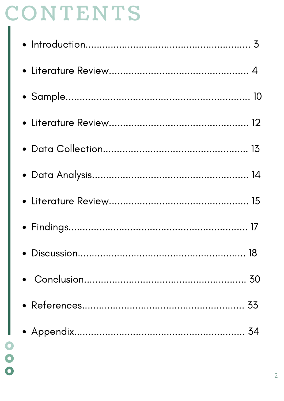# CONTENTS

- 000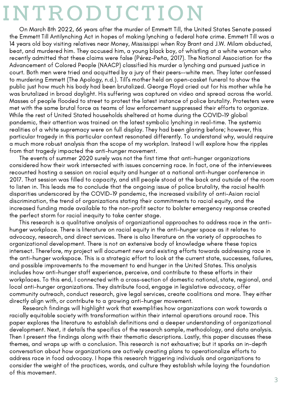# **INTRODUCTION**

On March 8th 2022, 66 years after the murder of Emmett Till, the United States Senate passed the Emmett Till Antilynching Act in hopes of making lynching a federal hate crime. Emmett Till was a 14 years old boy visiting relatives near Money, Mississippi when Roy Brant and J.W. Milam abducted, beat, and murdered him. They accused him, a young black boy, of whistling at a white woman who recently admitted that these claims were false (Pérez-Peña, 2017). The National Association for the Advancement of Colored People (NAACP) classified his murder a lynching and pursued justice in court. Both men were tried and acquitted by a jury of their peers--white men. They later confessed to murdering Emmett (The Apology, n.d.). Till's mother held an open-casket funeral to show the public just how much his body had been brutalized. George Floyd cried out for his mother while he was brutalized in broad daylight. His suffering was captured on video and spread across the world. Masses of people flooded to street to protest the latest instance of police brutality. Protesters were met with the same brutal force as teams of law enforcement suppressed their efforts to organize. While the rest of United Stated households sheltered at home during the COVID-19 global pandemic, their attention was trained on the latest symbolic lynching in real-time. The systemic realities of a white supremacy were on full display. They had been glaring before; however, this particular tragedy in this particular context resonated differently. To understand why, would require a much more robust analysis than the scope of my workplan. Instead I will explore how the ripples from that tragedy impacted the anti-hunger movement.

The events of summer 2020 surely was not the first time that anti-hunger organizations considered how their work intersected with issues concerning race. In fact, one of the interviewees recounted hosting a session on racial equity and hunger at a national anti-hunger conference in 2017. That session was filled to capacity, and still people stood at the back and outside of the room to listen in. This leads me to conclude that the ongoing issue of police brutality, the racial health disparities underscored by the COVID-19 pandemic, the increased visibility of anti-Asian racial discrimination, the trend of organizations stating their commitments to racial equity, and the increased funding made available to the non-profit sector to bolster emergency response created the perfect storm for racial inequity to take center stage.

This research is a qualitative analysis of organizational approaches to address race in the antihunger workplace. There is literature on racial equity in the anti-hunger space as it relates to advocacy, research, and direct services. There is also literature on the variety of approaches to organizational development. There is not an extensive body of knowledge where these topics intersect. Therefore, my project will document new and existing efforts towards addressing race in the anti-hunger workspace. This is a strategic effort to look at the current state, successes, failures, and possible improvements to the movement to end hunger in the United States. This analysis includes how anti-hunger staff experience, perceive, and contribute to these efforts in their workplaces. To this end, I connected with a cross-section of domestic national, state, regional, and local anti-hunger organizations. They distribute food, engage in legislative advocacy, offer community outreach, conduct research, give legal services, create coalitions and more. They either directly align with, or contribute to a growing anti-hunger movement.

Research findings will highlight work that exemplifies how organizations can work towards a racially equitable society with transformation within their internal operations around race. This paper explores the literature to establish definitions and a deeper understanding of organizational development. Next, it details the specifics of the research sample, methodology, and data analysis. Then I present the findings along with their thematic descriptions. Lastly, this paper discusses these themes, and wraps up with a conclusion. This research is not exhaustive; but it sparks an in-depth conversation about how organizations are actively creating plans to operationalize efforts to address race in food advocacy. I hope this research triggering individuals and organizations to consider the weight of the practices, words, and culture they establish while laying the foundation of this movement.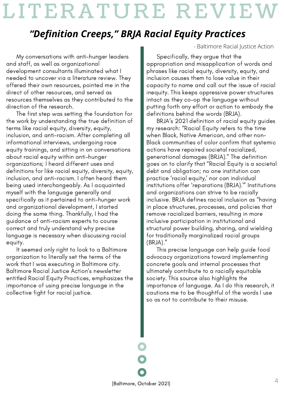# LITERATURE REVIEW

## *"Definition Creeps, " BRJA Racial Equity Practices*

My conversations with anti-hunger leaders and staff, as well as organizational development consultants illuminated what I needed to uncover via a literature review. They offered their own resources, pointed me in the direct of other resources, and served as resources themselves as they contributed to the direction of the research.

The first step was setting the foundation for the work by understanding the true definition of terms like racial equity, diversity, equity, inclusion, and anti-racism. After completing all informational interviews, undergoing race equity trainings, and sitting in on conversations about racial equity within anti-hunger organizations; I heard different uses and definitions for like racial equity, diversity, equity, inclusion, and anti-racism. I often heard them being used interchangeably. As I acquainted myself with the language generally and specifically as it pertained to anti-hunger work and organizational development, I started doing the same thing. Thankfully, I had the guidance of anti-racism experts to course correct and truly understand why precise language is necessary when discussing racial equity.

It seemed only right to look to a Baltimore organization to literally set the terms of the work that I was executing in Baltimore city. Baltimore Racial Justice Action's newsletter entitled Racial Equity Practices, emphasizes the importance of using precise language in the collective fight for racial justice.

- Baltimore Racial Justice Action

Specifically, they argue that the appropriation and misapplication of words and phrases like racial equity, diversity, equity, and inclusion causes them to lose value in their capacity to name and call out the issue of racial inequity. This keeps oppressive power structures intact as they co-op the language without putting forth any effort or action to embody the definitions behind the words (BRJA).

BRJA's 2021 definition of racial equity guides my research: "Racial Equity refers to the time when Black, Native American, and other non-Black communities of color confirm that systemic actions have repaired societal racialized, generational damages (BRJA)." The definition goes on to clarify that "Racial Equity is a societal debt and obligation; no one institution can practice 'racial equity,' nor can individual institutions offer 'reparations (BRJA).'" Institutions and organizations can strive to be racially inclusive. BRJA defines racial inclusion as "having in place structures, processes, and policies that remove racialized barriers, resulting in more inclusive participation in institutional and structural power building, sharing, and wielding for traditionally marginalized racial groups (BRJA)."

This precise language can help guide food advocacy organizations toward implementing concrete goals and internal processes that ultimately contribute to a racially equitable society. This source also highlights the importance of language. As I do this research, it cautions me to be thoughtful of the words I use so as not to contribute to their misuse.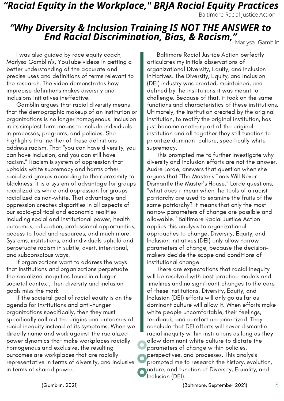## *"Racial Equity in the Workplace, " BRJA Racial Equity Practices*

- Baltimore Racial Justice Action

## *"Why Diversity & Inclusion Training IS NOT THE ANSWER to End Racial Discrimination, Bias, & Racism, "* - Marlysa Gamblin

I was also guided by race equity coach, Marlysa Gamblin's, YouTube videos in getting a better understanding of the accurate and precise uses and definitions of terms relevant to the research. The video demonstrates how imprecise definitions makes diversity and inclusions initiatives ineffective.

Gamblin argues that racial diversity means that the demographic makeup of an institution or organizations is no longer homogenous. Inclusion in its simplest form means to include individuals in processes, programs, and policies. She highlights that neither of these definitions address racism. That "you can have diversity, you can have inclusion, and you can still have racism." Racism is system of oppression that upholds white supremacy and harms other racialized groups according to their proximity to blackness. It is a system of advantage for groups racialized as white and oppression for groups racialized as non-white. That advantage and oppression creates disparities in all aspects of our socio-political and economic realities including social and institutional power, health outcomes, education, professional opportunities, access to food and resources, and much more. Systems, institutions, and individuals uphold and perpetuate racism in subtle, overt, intentional, and subconscious ways.

If organizations want to address the ways that institutions and organizations perpetuate the racialized inequities found in a larger societal context, then diversity and inclusion goals miss the mark.

If the societal goal of racial equity is on the agenda for institutions and anti-hunger organizations specifically, then they must specifically call out the origins and outcomes of racial inequity instead of its symptoms. When we directly name and work against the racialized power dynamics that make workplaces racially homogenous and exclusive, the resulting outcomes are workplaces that are racially representative in terms of diversity, and inclusive in terms of shared power.

Baltimore Racial Justice Action perfectly articulates my initials observations of organizational Diversity, Equity, and Inclusion initiatives. The Diversity, Equity, and Inclusion (DEI) industry was created, maintained, and defined by the institutions it was meant to challenge. Because of that, it took on the same functions and characteristics of these institutions. Ultimately, the institution created by the original institution, to rectify the original institution, has just become another part of the original institution and all together they still function to prioritize dominant culture, specifically white supremacy.

This prompted me to further investigate why diversity and inclusion efforts are not the answer. Audre Lorde, answers that question when she argues that "The Master's Tools Will Never Dismantle the Master's House." Lorde questions, "what does it mean when the tools of a racist patriarchy are used to examine the fruits of the same patriarchy? It means that only the most narrow parameters of change are possible and allowable." Baltimore Racial Justice Action applies this analysis to organizational approaches to change. Diversity, Equity, and Inclusion initiatives (DEI) only allow narrow parameters of change, because the decisionmakers decide the scope and conditions of institutional change.

There are expectations that racial inequity will be resolved with best-practice models and timelines and no significant changes to the core of these institutions. Diversity, Equity, and Inclusion (DEI) efforts will only go as far as dominant culture will allow it. When efforts make white people uncomfortable, their feelings, feedback, and comfort are prioritized. They conclude that DEI efforts will never dismantle racial inequity within institutions as long as they allow dominant white culture to dictate the parameters of change within policies, perspectives, and processes. This analysis prompted me to research the history, evolution, nature, and function of Diversity, Equality, and Inclusion (DEI).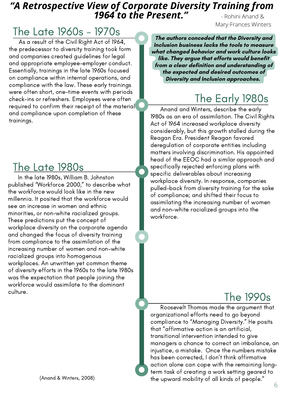### *"A Retrospective View of Corporate Diversity Training from 1964 to the Present."* - Rohini Anand &

# The Late 1960s - 1970s

As a result of the Civil Right Act of 1964, the predecessor to diversity training took form and companies created guidelines for legal and appropriate employee-employer conduct. Essentially, trainings in the late 1960s focused on compliance within internal operations, and compliance with the law. These early trainings were often short, one-time events with periods check-ins or refreshers. Employees were often required to confirm their receipt of the material and compliance upon completion of these trainings.

# The Late 1980s

In the late 1980s, William B. Johnston published "Workforce 2000," to describe what the workforce would look like in the new millennia. It posited that the workforce would see an increase in women and ethnic minorities, or non-white racialized groups. These predictions put the concept of workplace diversity on the corporate agenda and changed the focus of diversity training from compliance to the assimilation of the increasing number of women and non-white racialized groups into homogenous workplaces. An unwritten yet common theme of diversity efforts in the 1960s to the late 1980s was the expectation that people joining the workforce would assimilate to the dominant culture.

**The authors conceded that the Diversity and Inclusion business lacks the tools to measure what changed behavior and work culture looks like. They argue that efforts would benefit from a clear definition and understanding of the expected and desired outcomes of Diversity and Inclusion approaches.**

# The Early 1980s

Mary-Frances Winters

Anand and Winters, describe the early 1980s as an era of assimilation. The Civil Rights Act of 1964 increased workplace diversity considerably, but this growth stalled during the Reagan Era. President Reagan favored deregulation of corporate entities including matters involving discrimination. His appointed head of the EEOC had a similar approach and specifically rejected enforcing plans with specific deliverables about increasing workplace diversity. In response, companies pulled-back from diversity training for the sake of compliance; and shifted their focus to assimilating the increasing number of women and non-white racialized groups into the workforce.

# The 1990s

Roosevelt Thomas made the argument that organizational efforts need to go beyond compliance to "Managing Diversity." He posits that "affirmative action is an artificial, transitional intervention intended to give managers a chance to correct an imbalance, an injustice, a mistake. Once the numbers mistake has been corrected, I don't think affirmative action alone can cope with the remaining longterm task of creating a work setting geared to the upward mobility of all kinds of people."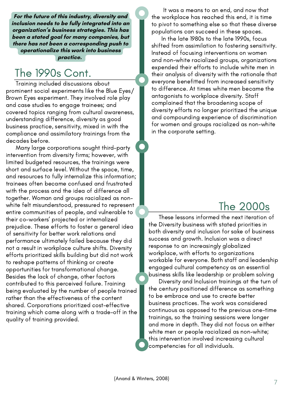**For the future of this industry, diversity and inclusion needs to be fully integrated into an organization's business strategies. This has been a stated goal for many companies, but there has not been a corresponding push to operationalize this work into business**

#### **practice.**

## The 1990s Cont.

Training included discussions about prominent social experiments like the Blue Eyes/ Brown Eyes experiment. They involved role play and case studies to engage trainees; and covered topics ranging from cultural awareness, understanding difference, diversity as good business practice, sensitivity, mixed in with the compliance and assimilatory trainings from the decades before.

Many large corporations sought third-party intervention from diversity firms; however, with limited budgeted resources, the trainings were short and surface level. Without the space, time, and resources to fully internalize this information; trainees often became confused and frustrated with the process and the idea of difference all together. Woman and groups racialized as nonwhite felt misunderstood, pressured to represent entire communities of people, and vulnerable to their co-workers' projected or internalized prejudice. These efforts to foster a general idea of sensitivity for better work relations and performance ultimately failed because they did not a result in workplace culture shifts. Diversity efforts prioritized skills building but did not work to reshape patterns of thinking or create opportunities for transformational change. Besides the lack of change, other factors contributed to this perceived failure. Training being evaluated by the number of people trained rather than the effectiveness of the content shared. Corporations prioritized cost-effective training which came along with a trade-off in the quality of training provided.

It was a means to an end, and now that the workplace has reached this end, it is time to pivot to something else so that these diverse populations can succeed in these spaces.

In the late 1980s to the late 1990s, focus shifted from assimilation to fostering sensitivity. Instead of focusing interventions on women and non-white racialized groups, organizations expended their efforts to include white men in their analysis of diversity with the rationale that everyone benefitted from increased sensitivity to difference. At times white men became the antagonists to workplace diversity. Staff complained that the broadening scope of diversity efforts no longer prioritized the unique and compounding experience of discrimination for women and groups racialized as non-white in the corporate setting.

# The 2000s

These lessons informed the next iteration of the Diversity business with stated priorities in both diversity and inclusion for sake of business success and growth. Inclusion was a direct response to an increasingly globalized workplace, with efforts to organizations workable for everyone. Both staff and leadership engaged cultural competency as an essential business skills like leadership or problem solving

Diversity and Inclusion trainings at the turn of the century positioned difference as something to be embrace and use to create better business practices. The work was considered continuous as opposed to the previous one-time trainings, so the training sessions were longer and more in depth. They did not focus on either white men or people racialized as non-white; this intervention involved increasing cultural competencies for all individuals.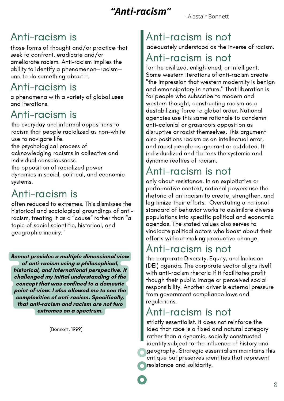## *"Anti-racism"*

- Alastair Bonnett

# Anti-racism is

those forms of thought and/or practice that seek to confront, eradicate and/or ameliorate racism. Anti-racism implies the ability to identify a phenomenon—racism and to do something about it.

## Anti-racism is

a phenomena with a variety of global uses and iterations.

# Anti-racism is

the everyday and informal oppositions to racism that people racialized as non-white use to navigate life.

the psychological process of

acknowledging racisms in collective and individual consciousness.

the opposition of racialized power dynamics in social, political, and economic systems.

# Anti-racism is

often reduced to extremes. This dismisses the historical and sociological groundings of antiracism, treating it as a "cause" rather than "a topic of social scientific, historical, and geographic inquiry."

**Bonnet provides a multiple dimensional view of anti-racism using a philosophical, historical, and international perspective. It challenged my initial understanding of the concept that was confined to a domestic point-of-view. I also allowed me to see the complexities of anti-racism. Specifically, that anti-racism and racism are not two extremes on a spectrum.**

(Bonnett, 1999)

# Anti-racism is not

adequately understood as the inverse of racism.

## Anti-racism is not

for the civilized, enlightened, or intelligent. Some western iterations of anti-racism create "the impression that western modernity is benign and emancipatory in nature." That liberation is for people who subscribe to modern and western thought, constructing racism as a destabilizing force to global order. National agencies use this same rationale to condemn anti-colonial or grassroots opposition as disruptive or racist themselves. This argument also positions racism as an intellectual error, and racist people as ignorant or outdated. It individualized and flattens the systemic and dynamic realties of racism.

# Anti-racism is not

only about resistance. In an exploitative or performative context, national powers use the rhetoric of antiracism to create, strengthen, and legitimize their efforts. Overstating a national standard of behavior works to assimilate diverse populations into specific political and economic agendas. The stated values also serves to vindicate political actors who boast about their efforts without making productive change.

## Anti-racism is not

the corporate Diversity, Equity, and Inclusion (DEI) agenda. The corporate sector aligns itself with anti-racism rhetoric if it facilitates profit though their public image or perceived social responsibility. Another driver is external pressure from government compliance laws and regulations.

## Anti-racism is not

strictly essentialist. It does not reinforce the idea that race is a fixed and natural category rather than a dynamic, socially constructed identity subject to the influence of history and geography. Strategic essentialism maintains this critique but preserves identities that represent resistance and solidarity.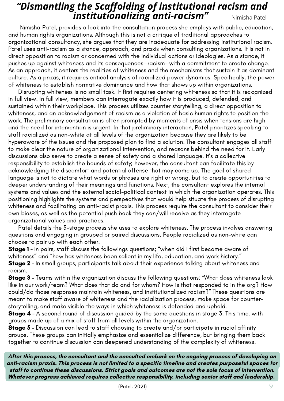## *"Dismantling the Scaffolding of institutional racism and institutionalizing anti-racism"* - [Nimisha](https://onlinelibrary.wiley.com/action/doSearch?ContribAuthorRaw=Patel%2C+Nimisha) Patel

Nimisha Patel, provides a look into the consultation process she employs with public, education, and human rights organizations. Although this is not a critique of traditional approaches to organizational consultancy, she argues that they are inadequate for addressing institutional racism. Patel uses anti-racism as a stance, approach, and praxis when consulting organizations. It is not in direct opposition to racism or concerned with the individual actions or ideologies. As a stance, it pushes up against whiteness and its consequences—racism—with a commitment to create change. As an approach, it centers the realities of whiteness and the mechanisms that sustain it as dominant culture. As a praxis, it requires critical analysis of racialized power dynamics. Specifically, the power of whiteness to establish normative dominance and how that shows up within organizations.

Disrupting whiteness is no small task. It first requires centering whiteness so that it is recognized in full view. In full view, members can interrogate exactly how it is produced, defended, and sustained within their workplace. This process utilizes counter storytelling, a direct opposition to whiteness, and an acknowledgement of racism as a violation of basic human rights to position the work. The preliminary consultation is often prompted by moments of crisis when tensions are high and the need for intervention is urgent. In that preliminary interaction, Patel prioritizes speaking to staff racialized as non-white at all levels of the organization because they are likely to be hyperaware of the issues and the proposed plan to find a solution. The consultant engages all staff to make clear the nature of organizational intervention, and reasons behind the need for it. Early discussions also serve to create a sense of safety and a shared language. It's a collective responsibility to establish the bounds of safety; however, the consultant can facilitate this by acknowledging the discomfort and potential offense that may come up. The goal of shared language is not to dictate what words or phrases are right or wrong, but to create opportunities to deeper understanding of their meanings and functions. Next, the consultant explores the internal systems and values and the external social-political context in which the organization operates. This positioning highlights the systems and perspectives that would help situate the process of disrupting whiteness and facilitating an anti-racist praxis. This process require the consultant to consider their own biases, as well as the potential push back they can/will receive as they interrogate organizational values and practices.

Patel details the 5-stage process she uses to explore whiteness. The process involves answering questions and engaging in grouped or paired discussions. People racialized as non-white can choose to pair up with each other.

**Stage 1** - In pairs, staff discuss the followings questions; "when did I first become aware of whiteness" and "how has whiteness been salient in my life, education, and work history." **Stage 2** - In small groups, participants talk about their experience talking about whiteness and racism.

**Stage 3** - Teams within the organization discuss the following questions: "What does whiteness look like in our work/team? What does that do and for whom? How is that responded to in the org? How could/do those responses maintain whiteness, and institutionalized racism?" These questions are meant to make staff aware of whiteness and the racialization process, make space for counterstorytelling, and make visible the ways in which whiteness is defended and upheld.

**Stage 4** - A second round of discussion guided by the same questions in stage 3. This time, with groups made up of a mix of staff from all levels within the organization.

Stage 5 - Discussion can lead to staff choosing to create and/or participate in racial affinity groups. These groups can initially emphasize and essentialize difference, but bringing them back together to continue discussion can deepened understanding of the complexity of whiteness.

**After this process, the consultant and the consulted embark on the ongoing process of developing an anti-racism praxis. This process is not limited to a specific timeline and creates purposeful spaces for staff to continue these discussions. Strict goals and outcomes are not the sole focus of intervention. Whatever progress achieved requires collective responsibility, including senior staff and leadership.**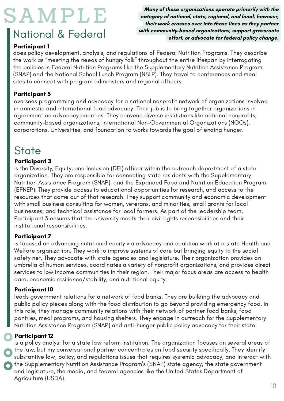# S AMP LE

# National & Federal

**Many of these organizations operate primarily with the category of national, state, regional, and local; however, their work crosses over into those lines as they partner with community-based organizations, support grassroots effort, or advocate for federal policy change.**

### Participant 1

does policy development, analysis, and regulations of Federal Nutrition Programs. They describe the work as "meeting the needs of hungry folk" throughout the entire lifespan by interrogating the policies in Federal Nutrition Programs like the Supplementary Nutrition Assistance Program (SNAP) and the National School Lunch Program (NSLP). They travel to conferences and meal sites to connect with program administers and regional officers.

### Participant 5

oversees programming and advocacy for a national nonprofit network of organizations involved in domestic and international food advocacy. Their job is to bring together organizations in agreement on advocacy priorities. They convene diverse institutions like national nonprofits, community-based organizations, international Non-Governmental Organizations (NGOs), corporations, Universities, and foundation to works towards the goal of ending hunger.

## **State**

### Participant 3

is the Diversity, Equity, and Inclusion (DEI) officer within the outreach department of a state organization. They are responsible for connecting state residents with the Supplementary Nutrition Assistance Program (SNAP), and the Expanded Food and Nutrition Education Program (EFNEP). They provide access to educational opportunities for research, and access to the resources that come out of that research. They support community and economic development with small business consulting for women, veterans, and minorities; small grants for local businesses; and technical assistance for local farmers. As part of the leadership team, Participant 3 ensures that the university meets their civil rights responsibilities and their institutional responsibilities.

### Participant 7

is focused on advancing nutritional equity via advocacy and coalition work at a state Health and Welfare organization. They work to improve systems of care but bringing equity to the social safety net. They advocate with state agencies and legislature. Their organization provides an umbrella of human services, coordinates a variety of nonprofit organizations, and provides direct services to low income communities in their region. Their major focus areas are access to health care, economic resilience/stability, and nutritional equity.

### Participant 10

leads government relations for a network of food banks. They are building the advocacy and public policy pieces along with the food distribution to go beyond providing emergency food. In this role, they manage community relations with their network of partner food banks, food pantries, meal programs, and housing shelters. They engage in outreach for the Supplementary Nutrition Assistance Program (SNAP) and anti-hunger public policy advocacy for their state.

### Participant 12

is a policy analyst for a state law reform institution. The organization focuses on several areas of the law, but my conversational partner concentrates on food security specifically. They identify substantive law, policy, and regulations issues that requires systemic advocacy; and interact with the Supplementary Nutrition Assistance Program's (SNAP) state agency, the state government and legislature, the media, and federal agencies like the United States Department of Agriculture (USDA).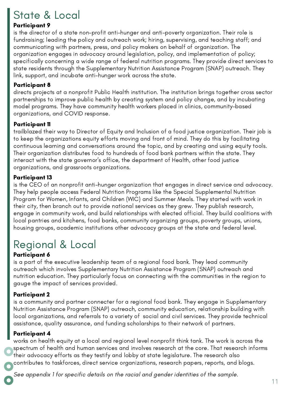# State & Local

#### Participant 9

is the director of a state non-profit anti-hunger and anti-poverty organization. Their role is fundraising; leading the policy and outreach work; hiring, supervising, and teaching staff; and communicating with partners, press, and policy makers on behalf of organization. The organization engages in advocacy around legislation, policy, and implementation of policy; specifically concerning a wide range of federal nutrition programs. They provide direct services to state residents through the Supplementary Nutrition Assistance Program (SNAP) outreach. They link, support, and incubate anti-hunger work across the state.

#### Participant 8

directs projects at a nonprofit Public Health institution. The institution brings together cross sector partnerships to improve public health by creating system and policy change, and by incubating model programs. They have community health workers placed in clinics, community-based organizations, and COVID response.

#### Participant 11

trailblazed their way to Director of Equity and Inclusion of a food justice organization. Their job is to keep the organizations equity efforts moving and front of mind. They do this by facilitating continuous learning and conversations around the topic, and by creating and using equity tools. Their organization distributes food to hundreds of food bank partners within the state. They interact with the state governor's office, the department of Health, other food justice organizations, and grassroots organizations.

#### Participant 13

is the CEO of an nonprofit anti-hunger organization that engages in direct service and advocacy. They help people access Federal Nutrition Programs like the Special Supplemental Nutrition Program for Women, Infants, and Children (WIC) and Summer Meals. They started with work in their city, then branch out to provide national services as they grew. They publish research, engage in community work, and build relationships with elected official. They build coalitions with local pantries and kitchens, food banks, community organizing groups, poverty groups, unions, housing groups, academic institutions other advocacy groups at the state and federal level.

# Regional & Local

### Participant 6

is a part of the executive leadership team of a regional food bank. They lead community outreach which involves Supplementary Nutrition Assistance Program (SNAP) outreach and nutrition education. They particularly focus on connecting with the communities in the region to gauge the impact of services provided.

### Participant 2

is a community and partner connecter for a regional food bank. They engage in Supplementary Nutrition Assistance Program (SNAP) outreach, community education, relationship building with local organizations, and referrals to a variety of social and civil services. They provide technical assistance, quality assurance, and funding scholarships to their network of partners.

### Participant 4

works on health equity at a local and regional level nonprofit think tank. The work is across the spectrum of health and human services and involves research at the core. That research informs their advocacy efforts as they testify and lobby at state legislature. The research also contributes to taskforces, direct service organizations, research papers, reports, and blogs.

See appendix 1 for specific details on the racial and gender identities of the sample.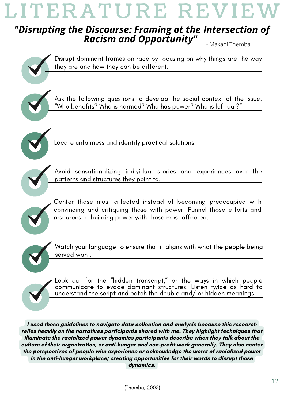# LITERATURE REVIE'

### *"Disrupting the Discourse: Framing at the Intersection of Racism and Opportunity"* - Makani Themba







Locate unfairness and identify practical solutions.



Avoid sensationalizing individual stories and experiences over the patterns and structures they point to.



Center those most affected instead of becoming preoccupied with convincing and critiquing those with power. Funnel those efforts and resources to building power with those most affected.



Watch your language to ensure that it aligns with what the people being served want.



Look out for the "hidden transcript," or the ways in which people communicate to evade dominant structures. Listen twice as hard to understand the script and catch the double and/ or hidden meanings.

**I used these guidelines to navigate data collection and analysis because this research relies heavily on the narratives participants shared with me. They highlight techniques that illuminate the racialized power dynamics participants describe when they talk about the culture of their organization, or anti-hunger and non-profit work generally. They also center the perspectives of people who experience or acknowledge the worst of racialized power in the anti-hunger workplace; creating opportunities for their words to disrupt those dynamics.**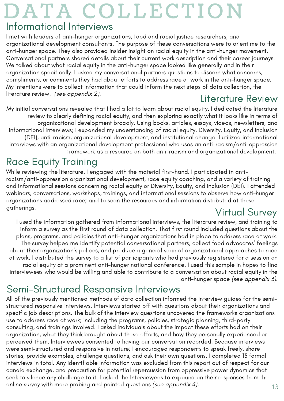# DATA COLLECTION

## Informational Interviews

I met with leaders of anti-hunger organizations, food and racial justice researchers, and organizational development consultants. The purpose of these conversations were to orient me to the anti-hunger space. They also provided insider insight on racial equity in the anti-hunger movement. Conversational partners shared details about their current work description and their career journeys. We talked about what racial equity in the anti-hunger space looked like generally and in their organization specifically. I asked my conversational partners questions to discern what concerns, compliments, or comments they had about efforts to address race at work in the anti-hunger space. My intentions were to collect information that could inform the next steps of data collection, the literature review. (see appendix 2).

## Literature Review

My initial conversations revealed that I had a lot to learn about racial equity. I dedicated the literature review to clearly defining racial equity, and then exploring exactly what it looks like in terms of organizational development broadly. Using books, articles, essays, videos, newsletters, and informational interviews; I expanded my understanding of racial equity, Diversity, Equity, and Inclusion (DEI), anti-racism, organizational development, and institutional change. I utilized informational interviews with an organizational development professional who uses an anti-racism/anti-oppression framework as a resource on both anti-racism and organizational development.

# Race Equity Training

While reviewing the literature, I engaged with the material first-hand. I participated in antiracism/anti-oppression organizational development, race equity coaching, and a variety of training and informational sessions concerning racial equity or Diversity, Equity, and Inclusion (DEI). I attended webinars, conversations, workshops, trainings, and informational sessions to observe how anti-hunger organizations addressed race; and to scan the resources and information distributed at these gatherings. Virtual Survey

I used the information gathered from informational interviews, the literature review, and training to inform a survey as the first round of data collection. That first round included questions about the plans, programs, and policies that anti-hunger organizations had in place to address race at work. The survey helped me identify potential conversational partners, collect food advocates' feelings about their organization's polices, and produce a general scan of organizational approaches to race at work. I distributed the survey to a list of participants who had previously registered for a session on racial equity at a prominent anti-hunger national conference. I used this sample in hopes to find interviewees who would be willing and able to contribute to a conversation about racial equity in the anti-hunger space (see appendix 3).

## Semi-Structured Responsive Interviews

All of the previously mentioned methods of data collection informed the interview guides for the semistructured responsive interviews. Interviews started off with questions about their organizations and specific job descriptions. The bulk of the interview questions uncovered the frameworks organizations use to address race at work; including the programs, policies, strategic planning, third-party consulting, and trainings involved. I asked individuals about the impact these efforts had on their organization, what they think brought about these efforts, and how they personally experienced or perceived them. Interviewees consented to having our conversation recorded. Because interviews were semi-structured and responsive in nature; I encouraged respondents to speak freely, share stories, provide examples, challenge questions, and ask their own questions. I completed 13 formal interviews in total. Any identifiable information was excluded from this report out of respect for our candid exchange, and precaution for potential repercussion from oppressive power dynamics that seek to silence any challenge to it. I asked the Interviewees to expound on their responses from the online survey with more probing and pointed questions *(see appendix 4)*.  $13$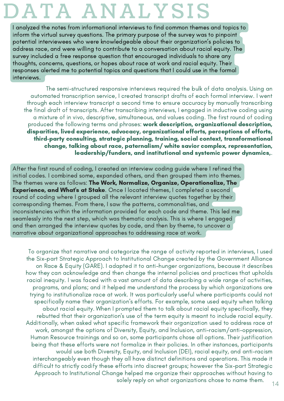# DATA ANALYSIS

I analyzed the notes from informational interviews to find common themes and topics to inform the virtual survey questions. The primary purpose of the survey was to pinpoint potential interviewees who were knowledgeable about their organization's policies to address race, and were willing to contribute to a conversation about racial equity. The survey included a free response question that encouraged individuals to share any thoughts, concerns, questions, or hopes about race at work and racial equity. Their responses alerted me to potential topics and questions that I could use in the formal interviews.

The semi-structured responsive interviews required the bulk of data analysis. Using an automated transcription service, I created transcript drafts of each formal interview. I went through each interview transcript a second time to ensure accuracy by manually transcribing the final draft of transcripts. After transcribing interviews, I engaged in inductive coding using a mixture of in vivo, descriptive, simultaneous, and values coding. The first round of coding produced the following terms and phrases: work description, organizational description, disparities, lived experience, advocacy, organizational efforts, perceptions of efforts, third-party consulting, strategic planning, training, social context, transformational change, talking about race, paternalism/ white savior complex, representation, leadership/funders, and institutional and systemic power dynamics,.

After the first round of coding, I created an interview coding guide where I refined the initial codes. I combined some, expanded others, and then grouped them into themes. The themes were as follows: The Work, Normalize, Organize, Operationalize, The Experience, and What's at Stake. Once I located themes, I completed a second round of coding where I grouped all the relevant interview quotes together by their corresponding themes. From there, I saw the patterns, commonalities, and inconsistencies within the information provided for each code and theme. This led me seamlessly into the next step, which was thematic analysis. This is where I engaged and then arranged the interview quotes by code, and then by theme, to uncover a narrative about organizational approaches to addressing race at work.

To organize that narrative and categorize the range of activity reported in interviews, I used the Six-part Strategic Approach to Institutional Change created by the Government Alliance on Race & Equity (GARE). I adapted it to anti-hunger organizations, because it describes how they can acknowledge and then change the internal policies and practices that upholds racial inequity. I was faced with a vast amount of data describing a wide range of activities, programs, and plans; and it helped me understand the process by which organizations are trying to institutionalize race at work. It was particularly useful where participants could not specifically name their organization's efforts. For example, some used equity when talking about racial equity. When I prompted them to talk about racial equity specifically, they rebutted that their organization's use of the term equity is meant to include racial equity. Additionally, when asked what specific framework their organization used to address race at work, amongst the options of Diversity, Equity, and Inclusion, anti-racism/anti-oppression, Human Resource trainings and so on, some participants chose all options. Their justification being that these efforts were not formalize in their policies. In other instances, participants would use both Diversity, Equity, and Inclusion (DEI), racial equity, and anti-racism interchangeably even though they all have distinct definitions and operations. This made it difficult to strictly codify these efforts into discreet groups; however the Six-part Strategic Approach to Institutional Change helped me organize their approaches without having to solely reply on what organizations chose to name them.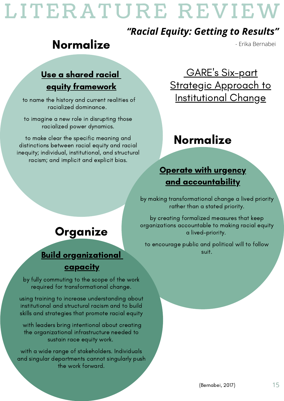# LITERATURE REVIEW

## *"Racial Equity: Getting to Results"*

# Normalize

## Use a shared racial equity framework

to name the history and current realities of racialized dominance.

to imagine a new role in disrupting those racialized power dynamics.

to make clear the specific meaning and distinctions between racial equity and racial inequity; individual, institutional, and structural racism; and implicit and explicit bias.

<u>GARE's Six-part</u> **Strategic Approach to** Institutional Change

# Normalize

## Operate with urgency and accountability

by making transformational change a lived priority rather than a stated priority.

by creating formalized measures that keep organizations accountable to making racial equity a lived-priority.

to encourage public and political will to follow

# Organize

## **Build organizational capacity**

by fully commuting to the scope of the work required for transformational change.

using training to increase understanding about institutional and structural racism and to build skills and strategies that promote racial equity

with leaders bring intentional about creating the organizational infrastructure needed to sustain race equity work.

with a wide range of stakeholders. Individuals and singular departments cannot singularly push the work forward.

- Erika Bernabei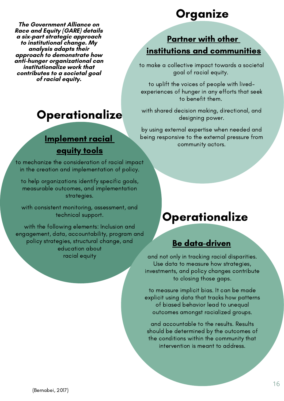**The Government Alliance on Race and Equity (GARE) details a six-part strategic approach to institutional change. My analysis adapts their approach to demonstrate how anti-hunger organizational can institutionalize work that contributes to a societal goal of racial equity.**

# **Operationalize**

## Implement racial equity tools

to mechanize the consideration of racial impact in the creation and implementation of policy.

to help organizations identify specific goals, measurable outcomes, and implementation strategies.

with consistent monitoring, assessment, and technical support.

with the following elements: Inclusion and engagement, data, accountability, program and policy strategies, structural change, and education about racial equity

# Organize

## Partner with other institutions and communities

to make a collective impact towards a societal goal of racial equity.

to uplift the voices of people with livedexperiences of hunger in any efforts that seek to benefit them.

with shared decision making, directional, and designing power.

by using external expertise when needed and being responsive to the external pressure from community actors.

# **Operationalize**

### Be data-driven

and not only in tracking racial disparities. Use data to measure how strategies, investments, and policy changes contribute to closing those gaps.

to measure implicit bias. It can be made explicit using data that tracks how patterns of biased behavior lead to unequal outcomes amongst racialized groups.

and accountable to the results. Results should be determined by the outcomes of the conditions within the community that intervention is meant to address.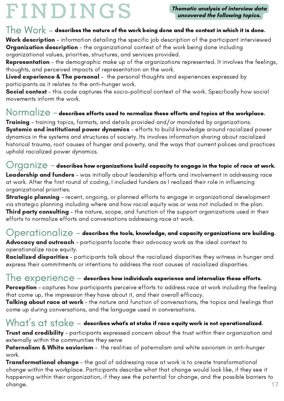# FI N DI N GS

**Thematic analysis of interview data uncovered the following topics.**

### $\textsf{The Work}$  – describes the nature of the work being done and the context in which it is done.

Work description - information detailing the specific job description of the participant interviewed **Organization description** - the organizational context of the work being done including organizational values, priorities, structures, and services provided.

Representation - the demographic make up of the organizations represented. It involves the feelings, thoughts, and perceived impacts of representation on the work.

Lived experience & The personal - the personal thoughts and experiences expressed by participants as it relates to the anti-hunger work.

Social context - this code captures the socio-political context of the work. Specifically how social movements inform the work.

### ${\sf Normalize}$  – describes efforts used to normalize these efforts and topics at the workplace.

**Training** – training topics, formats, and details provided and/or mandated by organizations. **Systemic and institutional power dynamics** - efforts to build knowledge around racialized power dynamics in the systems and structures of society. Its involves information sharing about racialized historical trauma, root causes of hunger and poverty, and the ways that current polices and practices uphold racialized power dynamics.

### $\bigcirc$ rganiz ${\bf e}$  – describes how organizations build capacity to engage in the topic of race at work.

Leadership and funders - was initially about leadership efforts and involvement in addressing race at work. After the first round of coding, I included funders as I realized their role in influencing organizational priorities.

**Strategic planning** – recent, ongoing, or planned efforts to engage in organizational development via strategic planning including where and how racial equity was or was not included in the plan. **Third party consulting** – the nature, scope, and function of the support organizations used in their efforts to normalize efforts and conversations addressing race at work.

### $\bigcirc$ perationalize – describes the tools, knowledge, and capacity organizations are building.

Advocacy and outreach – participants locate their advocacy work as the ideal context to operationalize race equity.

**Racialized disparities** – participants talk about the racialized disparities they witness in hunger and express their commitments or intentions to address the root causes of racialized disparities.

### $\textcolor{black}{\mathsf{The}}$   $\textcolor{black}{\mathsf{experience}}$  – describes how individuals experience and internalize these efforts.

**Perception** – captures how participants perceive efforts to address race at work including the feeling that come up, the impression they have about it, and their overall efficacy.

Talking about race at work - the nature and function of conversations, the topics and feelings that come up during conversations, and the language used in conversations.

### $\mathsf{W} \mathsf{hat}'\mathsf{s}$  at  $\mathsf{stack} \in \mathsf{back}$  - describes what's at stake if race equity work is not operationalized.

Trust and credibility - participants expressed concern about the trust within their organization and externally within the communities they serve

Paternalism & White saviorism - the realities of paternalism and white saviorism in anti-hunger work.

**Transformational change** – the goal of addressing race at work is to create transformational change within the workplace. Participants describe what that change would look like, if they see it happening within their organization, if they see the potential for change, and the possible barriers to change. 17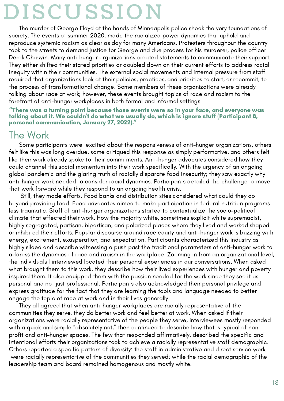# DISC U SSIO N

The murder of George Floyd at the hands of Minneapolis police shook the very foundations of society. The events of summer 2020, made the racialized power dynamics that uphold and reproduce systemic racism as clear as day for many Americans. Protesters throughout the country took to the streets to demand justice for George and due process for his murderer, police officer Derek Chauvin. Many anti-hunger organizations created statements to communicate their support. They either shifted their stated priorities or doubled down on their current efforts to address racial inequity within their communities. The external social movements and internal pressure from staff required that organizations look at their policies, practices, and priorities to start, or recommit, to the process of transformational change. Some members of these organizations were already talking about race at work; however, these events brought topics of race and racism to the forefront of anti-hunger workplaces in both formal and informal settings.

### "There was a turning point because those events were so in your face, and everyone was talking about it. We couldn't do what we usually do, which is ignore stuff (Participant 8,<br>personal communication, January 27, 2022)."

## The Work

Some participants were excited about the responsiveness of anti-hunger organizations, others felt like this was long overdue, some critiqued this response as simply performative, and others felt like their work already spoke to their commitments. Anti-hunger advocates considered how they could channel this social momentum into their work specifically. With the urgency of an ongoing global pandemic and the glaring truth of racially disparate food insecurity; they saw exactly why anti-hunger work needed to consider racial dynamics. Participants detailed the challenge to move that work forward while they respond to an ongoing health crisis.

Still, they made efforts. Food banks and distribution sites considered what could they do beyond providing food. Food advocates aimed to make participation in federal nutrition programs less traumatic. Staff of anti-hunger organizations started to contextualize the socio-political climate that effected their work. How the majority white, sometimes explicit white supremacist, highly segregated, partisan, bipartisan, and polarized places where they lived and worked shaped or inhibited their efforts. Popular discourse around race equity and anti-hunger work is buzzing with energy, excitement, exasperation, and expectation. Participants characterized this industry as highly siloed and describe witnessing a push past the traditional parameters of anti-hunger work to address the dynamics of race and racism in the workplace. Zooming in from an organizational level, the individuals I interviewed located their personal experiences in our conversations. When asked what brought them to this work, they describe how their lived experiences with hunger and poverty inspired them. It also equipped them with the passion needed for the work since they see it as personal and not just professional. Participants also acknowledged their personal privilege and express gratitude for the fact that they are learning the tools and language needed to better engage the topic of race at work and in their lives generally.

They all agreed that when anti-hunger workplaces are racially representative of the communities they serve, they do better work and feel better at work. When asked if their organizations were racially representative of the people they serve, interviewees mostly responded with a quick and simple "absolutely not," then continued to describe how that is typical of non profit and anti-hunger spaces. The few that responded affirmatively, described the specific and intentional efforts their organizations took to achieve a racially representative staff demographic. Others reported a specific pattern of diversity: the staff in administrative and direct service work were racially representative of the communities they served; while the racial demographic of the leadership team and board remained homogenous and mostly white.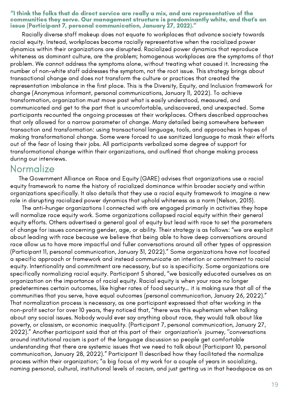#### "I think the folks that do direct service are really a mix, and are representative of the communities they serve. Our management structure is predominantly white, and that's an issue (Participant 7, personal communication, January 27, 2022)."

Racially diverse staff makeup does not equate to workplaces that advance society towards racial equity. Instead, workplaces become racially representative when the racialized power dynamics within their organizations are disrupted. Racialized power dynamics that reproduce whiteness as dominant culture, are the problem; homogenous workplaces are the symptoms of that problem. We cannot address the symptoms alone, without treating what caused it. Increasing the number of non-white staff addresses the symptom, not the root issue. This strategy brings about transactional change and does not transform the culture or practices that created the representation imbalance in the first place. This is the Diversity, Equity, and Inclusion framework for change (Anonymous informant, personal communications, January 11, 2022). To achieve transformation, organization must move past what is easily understood, measured, and communicated and get to the part that is uncomfortable, undiscovered, and unexpected. Some participants recounted the ongoing processes at their workplaces. Others described approaches that only allowed for a narrow parameter of change. Many detailed being somewhere between transaction and transformation: using transactional language, tools, and approaches in hopes of making transformational change. Some were forced to use sanitized language to mask their efforts out of the fear of losing their jobs. All participants verbalized some degree of support for transformational change within their organizations, and outlined that change making process during our interviews.

### Normalize

The Government Alliance on Race and Equity (GARE) advises that organizations use a racial equity framework to name the history of racialized dominance within broader society and within organizations specifically. It also details that they use a racial equity framework to imagine a new role in disrupting racialized power dynamics that uphold whiteness as a norm (Nelson, 2015).

The anti-hunger organizations I connected with are engaged primarily in activities they hope will normalize race equity work. Some organizations collapsed racial equity within their general equity efforts. Others advertised a general goal of equity but lead with race to set the parameters of change for issues concerning gender, age, or ability. Their strategy is as follows: "we are explicit about leading with race because we believe that being able to have deep conversations around race allow us to have more impactful and fuller conversations around all other types of oppression (Participant 11, personal communication, January 31, 2022)." Some organizations have not located a specific approach or framework and instead communicate an intention or commitment to racial equity. Intentionality and commitment are necessary, but so is specificity. Some organizations are specifically normalizing racial equity. Participant 5 shared, "we basically educated ourselves as an organization on the importance of racial equity. Racial equity is when your race no longer predetermines certain outcomes, like higher rates of food security… it is making sure that all of the communities that you serve, have equal outcomes (personal communication, January 26, 2022)." That normalization process is necessary, as one participant expressed that after working in the non-profit sector for over 10 years, they noticed that, "there was this euphemism when talking about any social issues. Nobody would ever say anything about race, they would talk about like poverty, or classism, or economic inequality. (Participant 7, personal communication, January 27, 2022)." Another participant said that at this part of their organization's journey, "conversations around institutional racism is part of the language discussion so people get comfortable understanding that there are systemic issues that we need to talk about (Participant 10, personal communication, January 28, 2022)." Participant 11 described how they facilitated the normalize process within their organization; "a big focus of my work for a couple of years in socializing, naming personal, cultural, institutional levels of racism, and just getting us in that headspace as an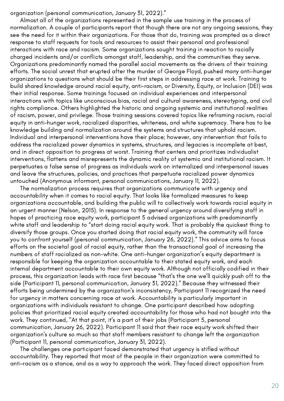organization (personal communication, January 31, 2022)."

Almost all of the organizations represented in the sample use training in the process of normalization. A couple of participants report that though there are not any ongoing sessions, they see the need for it within their organizations. For those that do, training was prompted as a direct response to staff requests for tools and resources to assist their personal and professional interactions with race and racism. Some organizations sought training in reaction to racially charged incidents and/or conflicts amongst staff, leadership, and the communities they serve. Organizations predominantly named the parallel social movements as the drivers of their training efforts. The social unrest that erupted after the murder of George Floyd, pushed many anti-hunger organizations to questions what should be their first steps in addressing race at work. Training to build shared knowledge around racial equity, anti-racism, or Diversity, Equity, or Inclusion (DEI) was their initial response. Some trainings focused on individual experiences and interpersonal interactions with topics like unconscious bias, racial and cultural awareness, stereotyping, and civil rights compliance. Others highlighted the historic and ongoing systemic and institutional realities of racism, power, and privilege. Those training sessions covered topics like reframing racism, racial equity in anti-hunger work, racialized disparities, whiteness, and white supremacy. There has to be knowledge building and normalization around the systems and structures that uphold racism. Individual and interpersonal interventions have their place; however, any intervention that fails to address the racialized power dynamics in systems, structures, and legacies is incomplete at best, and in direct opposition to progress at worst. Training that centers and prioritizes individualist interventions, flattens and misrepresents the dynamic reality of systemic and institutional racism. It perpetuates a false sense of progress as individuals work on internalized and interpersonal issues and leave the structures, policies, and practices that perpetuate racialized power dynamics untouched (Anonymous informant, personal communications, January 11, 2022).

The normalization process requires that organizations communicate with urgency and accountability when it comes to racial equity. That looks like formalized measures to keep organizations accountable, and building the public will to collectively work towards racial equity in an urgent manner (Nelson, 2015). In response to the general urgency around diversifying staff in hopes of practicing race equity work, participant 5 advised organizations with predominantly white staff and leadership to "start doing racial equity work. That is probably the quickest thing to diversify those groups. Once you started doing that racial equity work, the community will force you to confront yourself (personal communication, January 26, 2022)." This advice aims to focus efforts on the societal goal of racial equity, rather than the transactional goal of increasing the numbers of staff racialized as non-white. One anti-hunger organization's equity department is responsible for keeping the organization accountable to their stated equity work, and each internal department accountable to their own equity work. Although not officially codified in their process, this organization leads with race first because "that's the one we'll quickly push off to the side (Participant 11, personal communication, January 31, 2022)." Because they witnessed their efforts being undermined by the organization's inconsistency, Participant 11 recognized the need for urgency in matters concerning race at work. Accountability is particularly important in organizations with individuals resistant to change. One participant described how adopting policies that prioritized racial equity created accountability for those who had not bought into the work. They continued, "At that point, it's a part of their jobs (Participant 5, personal communication, January 26, 2022). Participant 11 said that their race equity work shifted their organization's culture so much so that staff members resistant to change left the organization (Participant 11, personal communication, January 31, 2022).

The challenges one participant faced demonstrated that urgency is stifled without accountability. They reported that most of the people in their organization were committed to anti-racism as a stance, and as a way to approach the work. They faced direct opposition from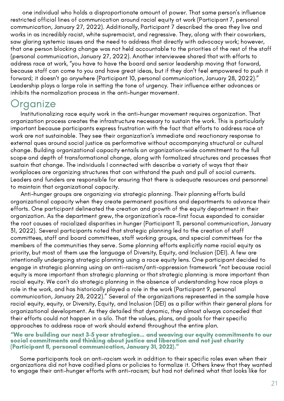one individual who holds a disproportionate amount of power. That same person's influence restricted official lines of communication around racial equity at work (Participant 7, personal communication, January 27, 2022). Additionally, Participant 7 described the area they live and works in as incredibly racist, white supremacist, and regressive. They, along with their coworkers, saw glaring systemic issues and the need to address that directly with advocacy work; however, that one person blocking change was not held accountable to the priorities of the rest of the staff (personal communication, January 27, 2022). Another interviewee shared that with efforts to address race at work, "you have to have the board and senior leadership moving that forward, because staff can come to you and have great ideas, but if they don't feel empowered to push it forward; it doesn't go anywhere (Participant 10, personal communication, January 28, 2022)." Leadership plays a large role in setting the tone of urgency. Their influence either advances or inhibits the normalization process in the anti-hunger movement.

## **Organize**

Institutionalizing race equity work in the anti-hunger movement requires organization. That organization process creates the infrastructure necessary to sustain the work. This is particularly important because participants express frustration with the fact that efforts to address race at work are not sustainable. They see their organization's immediate and reactionary response to external ques around social justice as performative without accompanying structural or cultural change. Building organizational capacity entails an organization-wide commitment to the full scope and depth of transformational change, along with formalized structures and processes that sustain that change. The individuals I connected with describe a variety of ways that their workplaces are organizing structures that can withstand the push and pull of social currents. Leaders and funders are responsible for ensuring that there is adequate resources and personnel to maintain that organizational capacity.

Anti-hunger groups are organizing via strategic planning. Their planning efforts build organizational capacity when they create permanent positions and departments to advance their efforts. One participant delineated the creation and growth of the equity department in their organization. As the department grew, the organization's race-first focus expanded to consider the root causes of racialized disparities in hunger (Participant 11, personal communication, January 31, 2022). Several participants noted that strategic planning led to the creation of staff committees, staff and board committees, staff working groups, and special committees for the members of the communities they serve. Some planning efforts explicitly name racial equity as priority, but most of them use the language of Diversity, Equity, and Inclusion (DEI). A few are intentionally undergoing strategic planning using a race equity lens. One participant decided to engage in strategic planning using an anti-racism/anti-oppression framework "not because racial equity is more important than strategic planning or that strategic planning is more important than racial equity. We can't do strategic planning in the absence of understanding how race plays a role in the work, and has historically played a role in the work (Participant 9, personal communication, January 28, 2022)." Several of the organizations represented in the sample have racial equity, equity, or Diversity, Equity, and Inclusion (DEI) as a pillar within their general plans for organizational development. As they detailed that dynamic, they almost always conceded that their efforts could not happen in a silo. That the values, plans, and goals for their specific approaches to address race at work should extend throughout the entire plan.

#### "We are building our next 3-5 year strategies… and weaving our equity commitments to our social commitments and thinking about justice and liberation and not just charity (Participant 11, personal communication, January 31, 2022)."

Some participants took on anti-racism work in addition to their specific roles even when their organizations did not have codified plans or policies to formalize it. Others knew that they wanted to engage their anti-hunger efforts with anti-racism; but had not defined what that looks like for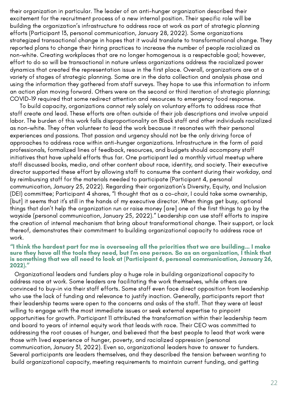their organization in particular. The leader of an anti-hunger organization described their excitement for the recruitment process of a new internal position. Their specific role will be building the organization's infrastructure to address race at work as part of strategic planning efforts (Participant 13, personal communication, January 28, 2022). Some organizations strategized transactional change in hopes that it would translate to transformational change. They reported plans to change their hiring practices to increase the number of people racialized as non-white. Creating workplaces that are no longer homogenous is a respectable goal; however, effort to do so will be transactional in nature unless organizations address the racialized power dynamics that created the representation issue in the first place. Overall, organizations are at a variety of stages of strategic planning. Some are in the data collection and analysis phase and using the information they gathered from staff surveys. They hope to use this information to inform an action plan moving forward. Others were on the second or third iteration of strategic planning; COVID-19 required that some redirect attention and resources to emergency food response.

To build capacity, organizations cannot rely solely on voluntary efforts to address race that staff create and lead. These efforts are often outside of their job descriptions and involve unpaid labor. The burden of this work falls disproportionality on Black staff and other individuals racialized as non-white. They often volunteer to lead the work because it resonates with their personal experiences and passions. That passion and urgency should not be the only driving force of approaches to address race within anti-hunger organizations. Infrastructure in the form of paid professionals, formalized lines of feedback, resources, and budgets should accompany staff initiatives that have upheld efforts thus far. One participant led a monthly virtual meetup where staff discussed books, media, and other content about race, identity, and society. Their executive director supported these effort by allowing staff to consume the content during their workday, and by reimbursing staff for the materials needed to participate (Participant 4, personal communication, January 25, 2022). Regarding their organization's Diversity, Equity, and Inclusion (DEI) committee; Participant 4 shares, "I thought that as a co-chair, I could take some ownership, [but] it seems that it's still in the hands of my executive director. When things get busy, optional things that don't help the organization run or raise money [are] one of the first things to go by the wayside (personal communication, January 25, 2022)." Leadership can use staff efforts to inspire the creation of internal mechanism that bring about transformational change. Their support, or lack thereof, demonstrates their commitment to building organizational capacity to address race at work.

### "I think the hardest part for me is overseeing all the priorities that we are building… I make sure they have all the tools they need, but I'm one person. So as an organization, I think that is something that we all need to look at (Participant 6, personal communication, January 26,<br>2022)."

Organizational leaders and funders play a huge role in building organizational capacity to address race at work. Some leaders are facilitating the work themselves, while others are convinced to buy-in via their staff efforts. Some staff even face direct opposition from leadership who use the lack of funding and relevance to justify inaction. Generally, participants report that their leadership teams were open to the concerns and asks of the staff. That they were at least willing to engage with the most immediate issues or seek external expertise to pinpoint opportunities for growth. Participant 11 attributed the transformation within their leadership team and board to years of internal equity work that leads with race. Their CEO was committed to addressing the root causes of hunger, and believed that the best people to lead that work were those with lived experience of hunger, poverty, and racialized oppression (personal communication, January 31, 2022). Even so, organizational leaders have to answer to funders. Several participants are leaders themselves, and they described the tension between wanting to build organizational capacity, meeting requirements to maintain current funding, and getting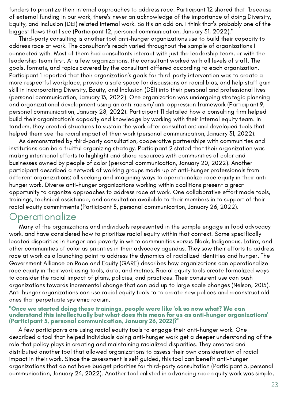funders to prioritize their internal approaches to address race. Participant 12 shared that "because of external funding in our work, there's never an acknowledge of the importance of doing Diversity, Equity, and Inclusion (DEI) related internal work. So it's an add on. I think that's probably one of the biggest flaws that I see (Participant 12, personal communication, January 31, 2022)."

Third-party consulting is another tool anti-hunger organizations use to build their capacity to address race at work. The consultant's reach varied throughout the sample of organizations I connected with. Most of them had consultants interact with just the leadership team, or with the leadership team first. At a few organizations, the consultant worked with all levels of staff. The goals, formats, and topics covered by the consultant differed according to each organization. Participant 1 reported that their organization's goals for third-party intervention was to create a more respectful workplace, provide a safe space for discussions on racial bias, and help staff gain skill in incorporating Diversity, Equity, and Inclusion (DEI) into their personal and professional lives (personal communication, January 13, 2022). One organization was undergoing strategic planning and organizational development using an anti-racism/anti-oppression framework (Participant 9, personal communication, January 28, 2022). Participant 11 detailed how a consulting firm helped build their organization's capacity and knowledge by working with their internal equity team. In tandem, they created structures to sustain the work after consultation; and developed tools that helped them see the racial impact of their work (personal communication, January 31, 2022).

As demonstrated by third-party consultation, cooperative partnerships with communities and institutions can be a fruitful organizing strategy. Participant 2 stated that their organization was making intentional efforts to highlight and share resources with communities of color and businesses owned by people of color (personal communication, January 20, 2022). Another participant described a network of working groups made up of anti-hunger professionals from different organizations; all seeking and imagining ways to operationalize race equity in their antihunger work. Diverse anti-hunger organizations working within coalitions present a great opportunity to organize approaches to address race at work. One collaborative effort made tools, trainings, technical assistance, and consultation available to their members in to support of their racial equity commitments (Participant 5, personal communication, January 26, 2022).

### **Operationalize**

Many of the organizations and individuals represented in the sample engage in food advocacy work, and have considered how to prioritize racial equity within that context. Some specifically located disparities in hunger and poverty in white communities versus Black, Indigenous, Latinx, and other communities of color as priorities in their advocacy agendas. They saw their efforts to address race at work as a launching point to address the dynamics of racialized identities and hunger. The Government Alliance on Race and Equity (GARE) describes how organizations can operationalize race equity in their work using tools, data, and metrics. Racial equity tools create formalized ways to consider the racial impact of plans, policies, and practices. Their consistent use can push organizations towards incremental change that can add up to large scale changes (Nelson, 2015). Anti-hunger organizations can use racial equity tools to to create new polices and reconstruct old ones that perpetuate systemic racism.

#### "Once we started doing these trainings, people were like 'ok so now what? We can understand this intellectually but what does this mean for us as anti-hunger organizations' (Participant 5, personal communication, January 26, 2022)?"

A few participants are using racial equity tools to engage their anti-hunger work. One described a tool that helped individuals doing anti-hunger work get a deeper understanding of the role that policy plays in creating and maintaining racialized disparities. They created and distributed another tool that allowed organizations to assess their own consideration of racial impact in their work. Since the assessment is self guided, this tool can benefit anti-hunger organizations that do not have budget priorities for third-party consultation (Participant 5, personal communication, January 26, 2022). Another tool enlisted in advancing race equity work was simple,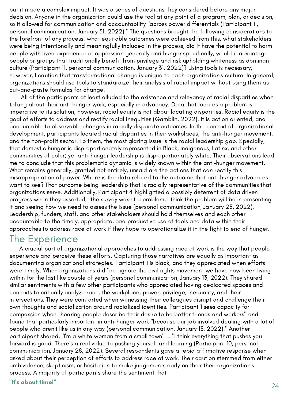but it made a complex impact. It was a series of questions they considered before any major decision. Anyone in the organization could use the tool at any point of a program, plan, or decision; so it allowed for communication and accountability "across power differentials (Participant 11, personal communication, January 31, 2022)." The questions brought the following considerations to the forefront of any process: what equitable outcomes were achieved from this, what stakeholders were being intentionally and meaningfully included in the process, did it have the potential to harm people with lived experience of oppression generally and hunger specifically, would it advantage people or groups that traditionally benefit from privilege and risk upholding whiteness as dominant culture (Participant 11, personal communication, January 31, 2022)? Using tools is necessary; however, I caution that transformational change is unique to each organization's culture. In general, organizations should use tools to standardize their analysis of racial impact without using them as cut-and-paste formulas for change.

All of the participants at least alluded to the existence and relevancy of racial disparities when talking about their anti-hunger work, especially in advocacy. Data that locates a problem is imperative to its solution; however, racial equity is not about locating disparities. Racial equity is the goal of efforts to address and rectify racial inequities (Gamblin, 2022). It is action oriented, and accountable to observable changes in racially disparate outcomes. In the context of organizational development, participants located racial disparities in their workplaces, the anti-hunger movement, and the non-profit sector. To them, the most glaring issue is the racial leadership gap. Specially, that domestic hunger is disproportionately represented in Black, Indigenous, Latinx, and other communities of color; yet anti-hunger leadership is disproportionately white. Their observations lead me to conclude that this problematic dynamic is widely known within the anti-hunger movement. What remains generally, granted not entirely, unsaid are the actions that can rectify this misappropriation of power. Where is the data related to the outcome that anti-hunger advocates want to see? That outcome being leadership that is racially representative of the communities that organizations serve. Additionally, Participant 4 highlighted a possibly deterrent of data driven progress when they asserted, "the survey wasn't a problem, I think the problem will be in presenting it and seeing how we need to assess the issue (personal communication, January 25, 2022). Leadership, funders, staff, and other stakeholders should hold themselves and each other accountable to the timely, appropriate, and productive use of tools and data within their approaches to address race at work if they hope to operationalize it in the fight to end of hunger.

### The Experience

A crucial part of organizational approaches to addressing race at work is the way that people experience and perceive these efforts. Capturing those narratives are equally as important as documenting organizational strategies. Participant 1 is Black, and they appreciated when efforts were timely. When organizations did "not ignore the civil rights movement we have now been living within for the last like couple of years (personal communication, January 13, 2022). They shared similar sentiments with a few other participants who appreciated having dedicated spaces and contexts to critically analyze race, the workplace, power, privilege, inequality, and their intersections. They were comforted when witnessing their colleagues disrupt and challenge their own thoughts and socialization around racialized identities. Participant 1 sees capacity for compassion when "hearing people describe their desire to be better friends and workers" and found that particularly important in anti-hunger work "because our job involved dealing with a lot of people who aren't like us in any way (personal communication, January 13, 2022)." Another participant shared, "I'm a white woman from a small town" … "I think everything that pushes you forward is good. There's a real value to pushing yourself and learning (Participant 10, personal communication, January 28, 2022). Several respondents gave a tepid affirmative response when asked about their perception of efforts to address race at work. Their caution stemmed from either ambivalence, skepticism, or hesitation to make judgements early on their their organization's process. A majority of participants share the sentiment that

"It's about time!"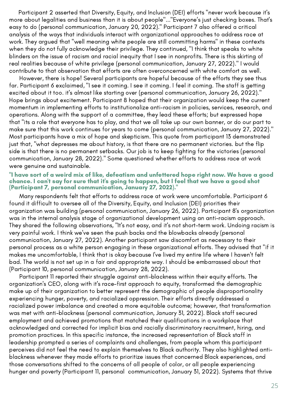Participant 2 asserted that Diversity, Equity, and Inclusion (DEI) efforts "never work because it's more about legalities and business than it is about people"..."Everyone's just checking boxes. That's easy to do (personal communication, January 20, 2022)." Participant 7 also offered a critical analysis of the ways that individuals interact with organizational approaches to address race at work. They argued that "well meaning white people are still committing harms" in these contexts when they do not fully acknowledge their privilege. They continued, "I think that speaks to white blinders on the issue of racism and racial inequity that I see in nonprofits. There is this skirting of real realities because of white privilege (personal communication, January 27, 2022)." I would contribute to that observation that efforts are often overconcerned with white comfort as well.

However, there is hope! Several participants are hopeful because of the efforts they see thus far. Participant 6 exclaimed, "I see it coming. I see it coming. I feel it coming. The staff is getting excited about it too. it's almost like starting over (personal communication, January 26, 2022)." Hope brings about excitement. Participant 8 hoped that their organization would keep the current momentum in implementing efforts to institutionalize anti-racism in policies, services, research, and operations. Along with the support of a committee, they lead these efforts; but expressed hope that "its a role that everyone has to play, and that we all take up our own banner, or do our part to make sure that this work continues for years to come (personal communication, January 27, 2022)." Most participants have a mix of hope and skepticism. This quote from participant 13 demonstrated just that, "what depresses me about history, is that there are no permanent victories. but the flip side is that there is no permanent setbacks. Our job is to keep fighting for the victories (personal communication, January 28, 2022)." Some questioned whether efforts to address race at work were genuine and sustainable.

#### "I have sort of a weird mix of like, defeatism and unfettered hope right now. We have a good chance. I can't say for sure that it's going to happen, but I feel that we have a good shot (Participant 7, personal communication, January 27, 2022)."

Many respondents felt that efforts to address race at work were uncomfortable. Participant 6 found it difficult to oversee all of the Diversity, Equity, and Inclusion (DEI) priorities their organization was building (personal communication, January 26, 2022). Participant 8's organization was in the internal analysis stage of organizational development using an anti-racism approach. They shared the following observations, "It's not easy, and it's not short-term work. Undoing racism is very painful work. I think we've seen the push backs and the blowbacks already (personal communication, January 27, 2022). Another participant saw discomfort as necessary to their personal process as a white person engaging in these organizational efforts. They advised that "if it makes me uncomfortable, I think that is okay because I've lived my entire life where I haven't felt bad. The world is not set up in a fair and appropriate way. I should be embarrassed about that (Participant 10, personal communication, January 28, 2022).

Participant 11 reported their struggle against anti-blackness within their equity efforts. The organization's CEO, along with it's race-first approach to equity, transformed the demographic make up of their organization to better represent the demographic of people disproportionality experiencing hunger, poverty, and racialized oppression. Their efforts directly addressed a racialized power imbalance and created a more equitable outcome; however, that transformation was met with anti-blackness (personal communication, January 31, 2022). Black staff secured employment and achieved promotions that matched their qualifications in a workplace that acknowledged and corrected for implicit bias and racially discriminatory recruitment, hiring, and promotion practices. In this specific instance, the increased representation of Black staff in leadership prompted a series of complaints and challenges, from people whom this participant perceives did not feel the need to explain themselves to Black authority. They also highlighted anti blackness whenever they made efforts to prioritize issues that concerned Black experiences, and those conversations shifted to the concerns of all people of color, or all people experiencing hunger and poverty (Participant 11, personal communication, January 31, 2022). Systems that thrive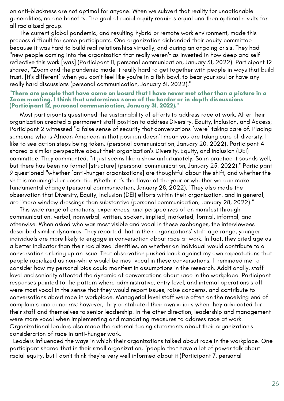on anti-blackness are not optimal for anyone. When we subvert that reality for unactionable generalities, no one benefits. The goal of racial equity requires equal and then optimal results for all racialized group.

The current global pandemic, and resulting hybrid or remote work environment, made this process difficult for some participants. One organization disbanded their equity committee because it was hard to build real relationships virtually, and during an ongoing crisis. They had "new people coming into the organization that really weren't as invested in how deep and self reflective this work [was] (Participant 11, personal communication, January 31, 2022). Participant 12 shared, "Zoom and the pandemic made it really hard to get together with people in ways that build trust. [It's different] when you don't feel like you're in a fish bowl, to bear your soul or have any really hard discussions (personal communication, January 31, 2022)."

#### "There are people that have come on board that I have never met other than a picture in a Zoom meeting. I think that undermines some of the harder or in depth discussions (Participant 12, personal communication, January 31, 2022)."

Most participants questioned the sustainability of efforts to address race at work. After their organization created a permanent staff position to address Diversity, Equity, Inclusion, and Access; Participant 2 witnessed "a false sense of security that conversations [were] taking care of. Placing someone who is African American in that position doesn't mean you are taking care of diversity. I like to see action steps being taken. (personal communication, January 20, 2022). Participant 4 shared a similar perspective about their organization's Diversity, Equity, and Inclusion (DEI) committee. They commented, "it just seems like a show unfortunately. So in practice it sounds well, but there has been no formal [structure] (personal communication, January 25, 2022)." Participant 9 questioned "whether [anti-hunger organizations] are thoughtful about the shift, and whether the shift is meaningful or cosmetic. Whether it's the flavor of the year or whether we can make fundamental change (personal communication, January 28, 2022)." They also made the observation that Diversity, Equity, Inclusion (DEI) efforts within their organization, and in general, are "more window dressings than substantive (personal communication, January 28, 2022)."

This wide range of emotions, experiences, and perspectives often manifest through communication: verbal, nonverbal, written, spoken, implied, marketed, formal, informal, and otherwise. When asked who was most visible and vocal in these exchanges, the interviewees described similar dynamics. They reported that in their organizations' staff age range, younger individuals are more likely to engage in conversation about race at work. In fact, they cited age as a better indicator than their racialized identities, on whether an individual would contribute to a conversation or bring up an issue. That observation pushed back against my own expectations that people racialized as non-white would be most vocal in these conversations. It reminded me to consider how my personal bias could manifest in assumptions in the research. Additionally, staff level and seniority effected the dynamic of conversations about race in the workplace. Participant responses pointed to the pattern where administrative, entry level, and internal operations staff were most vocal in the sense that they would report issues, raise concerns, and contribute to conversations about race in workplace. Managerial level staff were often on the receiving end of complaints and concerns; however, they contributed their own voices when they advocated for their staff and themselves to senior leadership. In the other direction, leadership and management were more vocal when implementing and mandating measures to address race at work. Organizational leaders also made the external facing statements about their organization's consideration of race in anti-hunger work.

Leaders influenced the ways in which their organizations talked about race in the workplace. One participant shared that in their small organization, "people that have a lot of power talk about racial equity, but I don't think they're very well informed about it (Participant 7, personal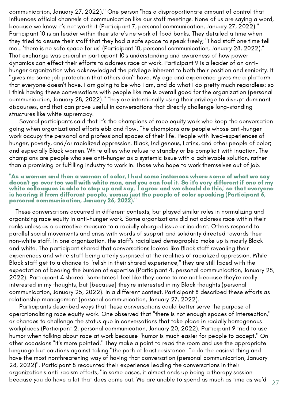i That exchange was crucial in participant 10's understanding and awareness of how power communication, January 27, 2022)." One person "has a disproportionate amount of control that influences official channels of communication like our staff meetings. None of us are saying a word, because we know it's not worth it (Participant 7, personal communication, January 27, 2022)." Participant 10 is an leader within their state's network of food banks. They detailed a time when they tried to assure their staff that they had a safe space to speak freely; "I had staff one time tell me… 'there is no safe space for us' (Participant 10, personal communication, January 28, 2022)." dynamics can effect their efforts to address race at work. Participant 9 is a leader of an antihunger organization who acknowledged the privilege inherent to both their position and seniority. It "gives me some job protection that others don't have. My age and experience gives me a platform that everyone doesn't have. I am going to be who I am, and do what I do pretty much regardless; so I think having these conversations with people like me is overall good for the organization (personal communication, January 28, 2022)." They are intentionally using their privilege to disrupt dominant discourses, and that can prove useful in conversations that directly challenge long-standing structures like white supremacy.

Several participants said that it's the champions of race equity work who keep the conversation going when organizational efforts ebb and flow. The champions are people whose anti-hunger work occupy the personal and professional spaces of their life. People with lived-experiences of hunger, poverty, and/or racialized oppression. Black, Indigenous, Latinx, and other people of color; and especially Black women. White allies who refuse to standby or be complicit with inaction. The champions are people who see anti-hunger as a systemic issue with a achievable solution, rather than a promising or fulfilling industry to work in. Those who hope to work themselves out of job.

#### "As a woman and then a woman of color, I had some instances where some of what we say doesn't go over too well with white men, and you can feel it. So it's very different if one of my white colleagues is able to step up and say, 'I agree and we should do this,' so that everyone is hearing it from different people, versus just the people of color speaking (Participant 6, personal communication, January 26, 2022)."

 These conversations occurred in different contexts, but played similar roles in normalizing and organizing race equity in anti-hunger work. Some organizations did not address race within their ranks unless as a corrective measure to a racially charged issue or incident. Others respond to parallel social movements and crisis with words of support and solidarity directed towards their non-white staff. In one organization, the staff's racialized demographic make up is mostly Black and white. The participant shared that conversations looked like Black staff revealing their experiences and white staff being utterly surprised at the realities of racialized oppression. While Black staff get to a chance to "relish in their shared experience," they are still faced with the expectation of bearing the burden of expertise (Participant 4, personal communication, January 25, 2022). Participant 4 shared "sometimes I feel like they come to me not because they're really interested in my thoughts, but [because] they're interested in my Black thoughts (personal communication, January 25, 2022). In a different context, Participant 8 described these efforts as relationship management (personal communication, January 27, 2022).

Participants described ways that these conversations could better serve the purpose of operationalizing race equity work. One observed that "there is not enough spaces of intersection," or chances to challenge the status quo in conversations that take place in racially homogenous workplaces (Participant 2, personal communication, January 20, 2022). Participant 9 tried to use humor when talking about race at work because "humor is much easier for people to accept." On other occasions "it's more pointed." They make a point to read the room and use the appropriate language but cautions against taking "the path of least resistance. To do the easiest thing and have the most nonthreatening way of having that conversation (personal communication, January 28, 2022)". Participant 8 recounted their experience leading the conversations in their organization's anti-racism efforts, "in some cases, it almost ends up being a therapy session because you do have a lot that does come out. We are unable to spend as much as time as we'd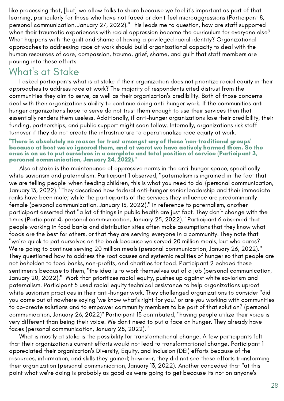like processing that, [but] we allow folks to share because we feel it's important as part of that learning, particularly for those who have not faced or don't feel microaggressions (Participant 8, personal communication, January 27, 2022)." This leads me to question, how are staff supported when their traumatic experiences with racial oppression become the curriculum for everyone else? What happens with the guilt and shame of having a privileged racial identity? Organizational approaches to addressing race at work should build organizational capacity to deal with the human resources of care, compassion, trauma, grief, shame, and guilt that staff members are i pouring into these efforts.

## What' s at Stake

I asked participants what is at stake if their organization does not prioritize racial equity in their approaches to address race at work? The majority of respondents cited distrust from the communities they aim to serve, as well as their organization's credibility. Both of those concerns deal with their organization's ability to continue doing anti-hunger work. If the communities antihunger organizations hope to serve do not trust them enough to use their services then that essentially renders them useless. Additionally, if anti-hunger organizations lose their credibility, their funding, partnerships, and public support might soon follow. Internally, organizations risk staff turnover if they do not create the infrastructure to operationalize race equity at work.

# "There is absolutely no reason for trust amongst any of those 'non-traditional groups'<br>because at best we've ignored them, and at worst we have actively harmed them. So the onus is on us to put ourselves in <sup>a</sup> complete and total position of service (Participant 3, personal communication, January 24, 2022)."

Also at stake is the maintenance of oppressive norms in the anti-hunger space, specifically white saviorism and paternalism. Participant 1 observed, "paternalism is ingrained in the fact that we are telling people 'when feeding children, this is what you need to do' (personal communication, January 13, 2022)." They described how federal anti-hunger senior leadership and their immediate ranks have been male; while the participants of the services they influence are predominantly female (personal communication, January 13, 2022)." In reference to paternalism, another participant asserted that "a lot of things in public health are just fact. They don't change with the times (Participant 4, personal communication, January 25, 2022)." Participant 6 observed that people working in food banks and distribution sites often make assumptions that they know what foods are the best for others, or that they are serving everyone in a community. They note that "we're quick to pat ourselves on the back because we served 20 million meals, but who cares? We're going to continue serving 20 million meals (personal communication, January 26, 2022)." They questioned how to address the root causes and systemic realities of hunger so that people are not beholden to food banks, non-profits, and charities for food. Participant 2 echoed those sentiments because to them, "the idea is to work themselves out of a job (personal communication, January 20, 2022)." Work that prioritizes racial equity, pushes up against white saviorism and paternalism. Participant 5 used racial equity technical assistance to help organizations uproot white saviorism practices in their anti-hunger work. They challenged organizations to consider "did you come out of nowhere saying 'we know what's right for you,' or are you working with communities to co-create solutions and to empower community members to be part of that solution? (personal communication, January 26, 2022)" Participant 13 contributed, "having people utilize their voice is very different than being their voice. We don't need to put a face on hunger. They already have faces (personal communication, January 28, 2022)."

What is mostly at stake is the possibility for transformational change. A few participants felt that their organization's current efforts would not lead to transformational change. Participant 1 appreciated their organization's Diversity, Equity, and Inclusion (DEI) efforts because of the resources, information, and skills they gained; however, they did not see these efforts transforming their organization (personal communication, January 13, 2022). Another conceded that "at this point what we're doing is probably as good as were going to get because its not on anyone's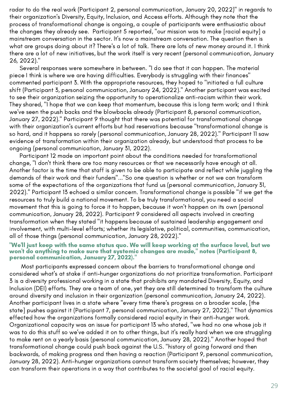radar to do the real work (Participant 2, personal communication, January 20, 2022)" in regards to their organization's Diversity, Equity, Inclusion, and Access efforts. Although they note that the process of transformational change is ongoing, a couple of participants were enthusiastic about the changes they already see. Participant 5 reported, "our mission was to make [racial equity] a mainstream conversation in the sector. It's now a mainstream conversation. The question then is what are groups doing about it? There's a lot of talk. There are lots of new money around it. I think there are a lot of new initiatives, but the work itself is very recent (personal communication, January<br>26 2022) '' 26, 2022)."

Several responses were somewhere in between. "I do see that it can happen. The material piece I think is where we are having difficulties. Everybody is struggling with their finances" commented participant 3. With the appropriate resources, they hoped to "initiated a full culture shift (Participant 3, personal communication, January 24, 2022)." Another participant was excited to see their organization seizing the opportunity to operationalize anti-racism within their work. They shared, "I hope that we can keep that momentum, because this is long term work; and I think we've seen the push backs and the blowbacks already (Participant 8, personal communication, January 27, 2022)." Participant 9 thought that there was potential for transformational change with their organization's current efforts but had reservations because "transformational change is so hard, and it happens so rarely (personal communication, January 28, 2022)." Participant 11 saw evidence of transformation within their organization already, but understood that process to be ongoing (personal communication, January 31, 2022).

Participant 12 made an important point about the conditions needed for transformational change, "I don't think there are too many resources or that we necessarily have enough at all. Another factor is the time that staff is given to be able to participate and reflect while juggling the demands of their work and their funders"..."So one question is whether or not we can transform some of the expectations of the organizations that fund us (personal communication, January 31, 2022)." Participant 13 echoed a similar concern. Transformational change is possible "if we get the resources to truly build a national movement. To be truly transformational, you need a social movement that this is going to force it to happen, because it won't happen on its own (personal communication, January 28, 2022). Participant 9 considered all aspects involved in creating transformation when they stated "it happens because of sustained leadership engagement and involvement, with multi-level efforts; whether its legislative, political, communities, communication, all of those things (personal communication, January 28, 2022)."

### "We'll just keep with the same status quo. We will keep working at the surface level, but we won't do anything to make sure that systemic changes are made," notes (Participant 8, personal communication, January 27, 2022)."

Most participants expressed concern about the barriers to transformational change and considered what's at stake if anti-hunger organizations do not prioritize transformation. Participant 3 is a diversity professional working in a state that prohibits any mandated Diversity, Equity, and Inclusion (DEI) efforts. They are a team of one, yet they are still determined to transform the culture around diversity and inclusion in their organization (personal communication, January 24, 2022). Another participant lives in a state where "every time there's progress on a broader scale, [the state] pushes against it (Participant 7, personal communication, January 27, 2022)." That dynamics effected how the organizations formally considered racial equity in their anti-hunger work. Organizational capacity was an issue for participant 13 who stated, "we had no one whose job it was to do this stuff so we've added it on to other things, but it's really hard when we are struggling to make rent on a yearly basis (personal communication, January 28, 2022)." Another hoped that transformational change could push back against the U.S. "history of going forward and then backwards, of making progress and then having a reaction (Participant 9, personal communication, January 28, 2022). Anti-hunger organizations cannot transform society themselves; however, they can transform their operations in a way that contributes to the societal goal of racial equity.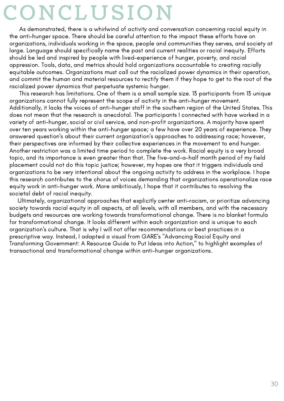# CO N CL U SIO N

As demonstrated, there is a whirlwind of activity and conversation concerning racial equity in the anti-hunger space. There should be careful attention to the impact these efforts have on organizations, individuals working in the space, people and communities they serves, and society at large. Language should specifically name the past and current realities or racial inequity. Efforts should be led and inspired by people with lived-experience of hunger, poverty, and racial oppression. Tools, data, and metrics should hold organizations accountable to creating racially equitable outcomes. Organizations must call out the racialized power dynamics in their operation, and commit the human and material resources to rectify them if they hope to get to the root of the racialized power dynamics that perpetuate systemic hunger.

This research has limitations. One of them is a small sample size. 13 participants from 13 unique organizations cannot fully represent the scope of activity in the anti-hunger movement. Additionally, it lacks the voices of anti-hunger staff in the southern region of the United States. This does not mean that the research is anecdotal. The participants I connected with have worked in a variety of anti-hunger, social or civil service, and non-profit organizations. A majority have spent over ten years working within the anti-hunger space; a few have over 20 years of experience. They answered question's about their current organization's approaches to addressing race; however, their perspectives are informed by their collective experiences in the movement to end hunger. Another restriction was a limited time period to complete the work. Racial equity is a very broad topic, and its importance is even greater than that. The five-and-a-half month period of my field placement could not do this topic justice; however, my hopes are that it triggers individuals and organizations to be very intentional about the ongoing activity to address in the workplace. I hope this research contributes to the chorus of voices demanding that organizations operationalize race equity work in anti-hunger work. More ambitiously, I hope that it contributes to resolving the societal debt of racial inequity.

Ultimately, organizational approaches that explicitly center anti-racism, or prioritize advancing society towards racial equity in all aspects, at all levels, with all members, and with the necessary budgets and resources are working towards transformational change. There is no blanket formula for transformational change. It looks different within each organization and is unique to each organization's culture. That is why I will not offer recommendations or best practices in a prescriptive way. Instead, I adapted a visual from GARE's "Advancing Racial Equity and Transforming Government: A Resource Guide to Put Ideas into Action," to highlight examples of transactional and transformational change within anti-hunger organizations.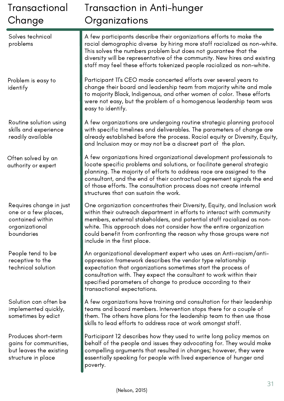| Transactional<br>Change                                                                             | <b>Transaction in Anti-hunger</b><br>Organizations                                                                                                                                                                                                                                                                                                                                                                  |  |  |  |  |
|-----------------------------------------------------------------------------------------------------|---------------------------------------------------------------------------------------------------------------------------------------------------------------------------------------------------------------------------------------------------------------------------------------------------------------------------------------------------------------------------------------------------------------------|--|--|--|--|
| Solves technical<br>problems                                                                        | A few participants describe their organizations efforts to make the<br>racial demographic diverse by hiring more staff racialized as non-white.<br>This solves the numbers problem but does not guarantee that the<br>diversity will be representative of the community. New hires and existing<br>staff may feel these efforts tokenized people racialized as non-white.                                           |  |  |  |  |
| Problem is easy to<br>identify                                                                      | Participant II's CEO made concerted efforts over several years to<br>change their board and leadership team from majority white and male<br>to majority Black, Indigenous, and other women of color. These efforts<br>were not easy, but the problem of a homogenous leadership team was<br>easy to identify.                                                                                                       |  |  |  |  |
| Routine solution using<br>skills and experience<br>readily available                                | A few organizations are undergoing routine strategic planning protocol<br>with specific timelines and deliverables. The parameters of change are<br>already established before the process. Racial equity or Diversity, Equity,<br>and Inclusion may or may not be a discreet part of the plan.                                                                                                                     |  |  |  |  |
| Often solved by an<br>authority or expert                                                           | A few organizations hired organizational development professionals to<br>locate specific problems and solutions, or facilitate general strategic<br>planning. The majority of efforts to address race are assigned to the<br>consultant, and the end of their contractual agreement signals the end<br>of those efforts. The consultation process does not create internal<br>structures that can sustain the work. |  |  |  |  |
| Requires change in just<br>one or a few places,<br>contained within<br>organizational<br>boundaries | One organization concentrates their Diversity, Equity, and Inclusion work<br>within their outreach department in efforts to interact with community<br>members, external stakeholders, and potential staff racialized as non-<br>white. This approach does not consider how the entire organization<br>could benefit from confronting the reason why those groups were not<br>include in the first place.           |  |  |  |  |
| People tend to be<br>receptive to the<br>technical solution                                         | An organizational development expert who uses an Anti-racism/anti-<br>oppression framework describes the vendor type relationship<br>expectation that organizations sometimes start the process of<br>consultation with. They expect the consultant to work within their<br>specified parameters of change to produce according to their<br>transactional expectations.                                             |  |  |  |  |
| Solution can often be<br>implemented quickly,<br>sometimes by edict                                 | A few organizations have training and consultation for their leadership<br>teams and board members. Intervention stops there for a couple of<br>them. The others have plans for the leadership team to then use those<br>skills to lead efforts to address race at work amongst staff.                                                                                                                              |  |  |  |  |
| Produces short-term<br>gains for communities,<br>but leaves the existing<br>structure in place      | Participant 12 describes how they used to write long policy memos on<br>behalf of the people and issues they advocating for. They would make<br>compelling arguments that resulted in changes; however, they were<br>essentially speaking for people with lived experience of hunger and<br>poverty.                                                                                                                |  |  |  |  |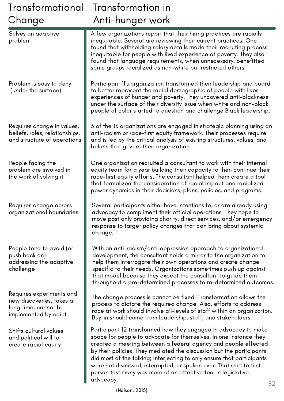| Transformational                                                                                     | Transformation in                                                                                                                                                                                                                                                                                                                                                                                                                                                                                 |  |  |  |  |
|------------------------------------------------------------------------------------------------------|---------------------------------------------------------------------------------------------------------------------------------------------------------------------------------------------------------------------------------------------------------------------------------------------------------------------------------------------------------------------------------------------------------------------------------------------------------------------------------------------------|--|--|--|--|
| Change                                                                                               | Anti-hunger work                                                                                                                                                                                                                                                                                                                                                                                                                                                                                  |  |  |  |  |
| Solves an adaptive<br>problem                                                                        | A few organizations report that their hiring practices are racially<br>inequitable. Several are reviewing their current practices. One<br>found that withholding salary details made their recruiting process<br>inequitable for people with lived experience of poverty. They also<br>found that language requirements, when unnecessary, benefitted<br>some groups racialized as non-white but restricted others.                                                                               |  |  |  |  |
| Problem is easy to deny<br>(under the surface)                                                       | Participant 11's organization transformed their leadership and board<br>to better represent the racial demographic of people with lives<br>experiences of hunger and poverty. They uncovered anti-blackness<br>under the surface of their diversity issue when white and non-black<br>people of color started to question and challenge Black leadership.                                                                                                                                         |  |  |  |  |
| Requires change in values,<br>beliefs, roles, relationships,<br>and structure of operations          | 3 of the 13 organizations are engaged in strategic planning using an<br>anti-racism or race-first equity framework. Their processes require<br>and is led by the critical analysis of existing structures, values, and<br>beliefs that govern their organization.                                                                                                                                                                                                                                 |  |  |  |  |
| People facing the<br>problem are involved in<br>the work of solving it                               | One organization recruited a consultant to work with their internal<br>equity team for a year building their capacity to then continue their<br>race-first equity efforts. The consultant helped them create a tool<br>that formalized the consideration of racial impact and racialized<br>power dynamics in their decisions, plans, policies, and programs.                                                                                                                                     |  |  |  |  |
| Requires change across<br>organizational boundaries                                                  | Several participants either have intentions to, or are already using<br>advocacy to compliment their official operations. They hope to<br>move past only providing charity, direct services, and/or emergency<br>response to target policy changes that can bring about systemic<br>change.                                                                                                                                                                                                       |  |  |  |  |
| People tend to avoid (or<br>push back on)<br>addressing the adaptive<br>challenge                    | With an anti-racism/anti-oppression approach to organizational<br>development, the consultant holds a mirror to the organization to<br>help them interrogate their own operations and create change<br>specific to their needs. Organizations sometimes push up against<br>that model because they expect the consultant to guide them<br>throughout a pre-determined processes to re-determined outcomes.                                                                                        |  |  |  |  |
| Requires experiments and<br>new discoveries, takes a<br>long time, cannot be<br>implemented by edict | The change process is cannot be fixed. Transformation allows the<br>process to dictate the required change. Also, efforts to address<br>race at work should involve all-levels of staff within an organization.<br>Buy-in should come from leadership, staff, and stakeholders.                                                                                                                                                                                                                   |  |  |  |  |
| Shifts cultural values<br>and political will to<br>create racial equity                              | Participant 12 transformed how they engaged in advocacy to make<br>space for people to advocate for themselves. In one instance they<br>created a meeting between a federal agency and people effected<br>by their policies. They mediated the discussion but the participants<br>did most of the talking; interjecting to only ensure that participants<br>were not dismissed, interrupted, or spoken over. That shift to first<br>person testimony was more of an effective tool in legislative |  |  |  |  |

advocacy.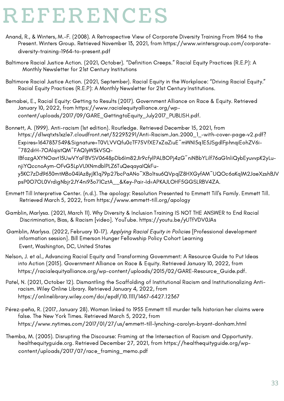# **REFERENCES**

- Anand, R., & Winters, M.-F. (2008). A Retrospective View of Corporate Diversity Training From 1964 to the Present. Winters Group. Retrieved November 13, 2021, from https://www.wintersgroup.com/corporatediversity-training-1964-to-present.pdf
- Baltimore Racial Justice Action. (2021, October). "Definition Creeps." Racial Equity Practices (R.E.P): A Monthly Newsletter for 21st Century Institutions
- Baltimore Racial Justice Action. (2021, September). Racial Equity in the Workplace: "Driving Racial Equity." Racial Equity Practices (R.E.P): A Monthly Newsletter for 21st Century Institutions.
- Bernabei, E., Racial Equity: Getting to Results (2017). Government Alliance on Race & Equity. Retrieved January 10, 2022, from https://www.racialequityalliance.org/wpcontent/uploads/2017/09/GARE\_GettingtoEquity\_July2017\_PUBLISH.pdf.
- Bonnett, A. (1999). Anti-racism (1st edition). Routledge. Retrieved December 15, 2021, from https://d1wqtxts1xzle7.cloudfront.net/32293291/Anti-Racism.Jan.2000\_1\_-with-cover-page-v2.pdf? Expires=1647837549&Signature=T0VLVVQfu0cTF75VfXE7xZaZiuE~mWNI5q1E5JSgdlFphnqiEohZV6i- ~782drH-7OAlqistQM~FAQ1yW3kVSQ-IBfozgAXYNOavt15UwVYaFBVSV0648pDb6Im82JIr9cfylPALBOPj4zG~niNBbYLilf76aG1nliQybEyuvvpK2yLunjiYQccnoAym-OFvG3LpVUXNmdblPLZ6TuQeqayaIQkFuy3KC7zDd9630mtMBo04lAz8yjlK1q79p27bcPaANo~XBo1tsu6QVpqlZ8HXGyfAM~UQOc6aKq1M2JaeXzshBJV psP0O7OL0VrdigNbjr2JY4ni93o71CztA\_\_&Key-Pair-Id=APKAJLOHF5GGSLRBV4ZA.
- Emmett Till Interpretive Center. (n.d.). The apology: Resolution Presented to Emmett Till's Family. Emmett Till. Retrieved March 5, 2022, from https://www.emmett-till.org/apology
- Gamblin, Marlysa. (2021, March 11). Why Diversity & Inclusion Training IS NOT THE ANSWER to End Racial Discrimination, Bias, & Racism [video]. YouTube. https://youtu.be/yUTfVDV0JAs
- Gamblin, Marlysa. (2022, February 10-17). Applying Racial Equity in Policies [Professional development information session]. Bill Emerson Hunger Fellowship Policy Cohort Learning Event, Washington, DC, United States
- Nelson, J. et al., Advancing Racial Equity and Transforming Government: A Resource Guide to Put Ideas into Action (2015). Government Alliance on Race & Equity. Retrieved January 10, 2022, from https://racialequityalliance.org/wp-content/uploads/2015/02/GARE-Resource\_Guide.pdf.
- Patel, N. (2021, October 12). Dismantling the Scaffolding of Institutional Racism and Institutionalizing Antiracism. Wiley Online Library. Retrieved January 4, 2022, from https://onlinelibrary.wiley.com/doi/epdf/10.1111/1467-6427.12367
- Pérez-peña, R. (2017, January 28). Woman linked to 1955 Emmett till murder tells historian her claims were false. The New York Times. Retrieved March 5, 2022, from https://www.nytimes.com/2017/01/27/us/emmett-till-lynching-carolyn-bryant-donham.html
- Themba, M. (2005). Disrupting the Discourse: Framing at the Intersection of Racism and Opportunity. healthequityguide.org. Retrieved December 27, 2021, from https://healthequityguide.org/wpcontent/uploads/2017/07/race\_framing\_memo.pdf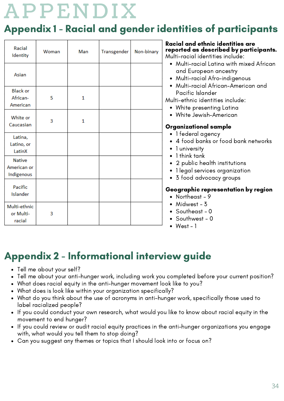# **A P P E N D I X**

## Appendix 1 - Racial and gender identities of participants

| Racial<br>Identity                         | Woman | Man | Transgender | Non-binary | Racial and ethnic identities are<br>reported as described by participants.<br>Multi-racial identities include:<br>Multi-racial Latina with mixed African<br>$\bullet$                                                                                                                                                                                                                                           |
|--------------------------------------------|-------|-----|-------------|------------|-----------------------------------------------------------------------------------------------------------------------------------------------------------------------------------------------------------------------------------------------------------------------------------------------------------------------------------------------------------------------------------------------------------------|
| Asian                                      |       |     |             |            | and European ancestry<br>Multi-racial Afro-indigenous<br>$\bullet$<br>• Multi-racial African-American and                                                                                                                                                                                                                                                                                                       |
| <b>Black or</b><br>African-<br>American    | 5     | 1   |             |            | Pacific Islander<br>Multi-ethnic identities include:<br>White presenting Latina<br>$\bullet$<br>White Jewish-American<br>$\bullet$<br><b>Organizational sample</b><br>• 1 federal agency<br>• 4 food banks or food bank networks<br>1 university<br>$\bullet$<br>1 think tank<br>2 public health institutions<br>$\bullet$<br>1 legal services organization<br>$\bullet$<br>3 food advocacy groups<br>$\bullet$ |
| White or<br>Caucasian                      | 3     | 1   |             |            |                                                                                                                                                                                                                                                                                                                                                                                                                 |
| Latina,<br>Latino, or<br>LatinX            |       |     |             |            |                                                                                                                                                                                                                                                                                                                                                                                                                 |
| <b>Native</b><br>American or<br>Indigenous |       |     |             |            |                                                                                                                                                                                                                                                                                                                                                                                                                 |
| Pacific<br>Islander                        |       |     |             |            | Geographic representation by region<br>• Northeast - $9$                                                                                                                                                                                                                                                                                                                                                        |
| Multi-ethnic<br>or Multi-<br>racial        | 3     |     |             |            | Midwest - 3<br>$\bullet$<br>• Southeast - $0$<br>Southwest - 0<br>• $West - 1$                                                                                                                                                                                                                                                                                                                                  |

# Appendix 2 - Informational interview guide

- Tell me about your self?
- Tell me about your anti-hunger work, including work you completed before your current position?
- What does racial equity in the anti-hunger movement look like to you?
- What does is look like within your organization specifically?
- What do you think about the use of acronyms in anti-hunger work, specifically those used to label racialized people?
- If you could conduct your own research, what would you like to know about racial equity in the movement to end hunger?
- If you could review or audit racial equity practices in the anti-hunger organizations you engage with, what would you tell them to stop doing?
- Can you suggest any themes or topics that I should look into or focus on?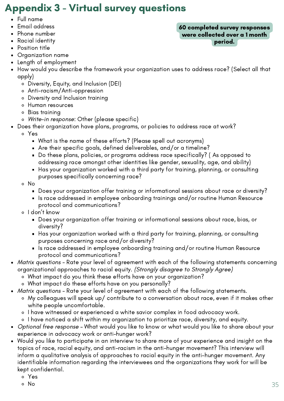# Appendix 3 - Virtual survey questions

- Full name
- Email address
- Phone number
- Racial identity
- Position title
- Organization name
- Length of employment
- How would you describe the framework your organization uses to address race? (Select all that apply)
	- Diversity, Equity, and Inclusion (DEI)
	- Anti-racism/Anti-oppression
	- Diversity and Inclusion training
	- Human resources
	- Bias training
	- Write-in response: Other (please specific)
- Does their organization have plans, programs, or policies to address race at work?
	- Yes
		- What is the name of these efforts? (Please spell out acronyms)
		- Are their specific goals, defined deliverables, and/or a timeline?
		- Do these plans, policies, or programs address race specifically? (As opposed to addressing race amongst other identities like gender, sexuality, age, and ability)
		- Has your organization worked with a third party for training, planning, or consulting purposes specifically concerning race?
	- No
		- Does your organization offer training or informational sessions about race or diversity?
		- $\blacksquare$  Is race addressed in employee onboarding trainings and/or routine Human Resource protocol and communications?
	- o I don't know
		- Does your organization offer training or informational sessions about race, bias, or diversity?
		- Has your organization worked with a third party for training, planning, or consulting purposes concerning race and/or diversity?
		- Is race addressed in employee onboarding training and/or routine Human Resource protocol and communications?
- Matrix questions Rate your level of agreement with each of the following statements concerning organizational approaches to racial equity. (Strongly disagree to Strongly Agree)
	- What impact do you think these efforts have on your organization?
	- What impact do these efforts have on you personally?
- Matrix questions Rate your level of agreement with each of the following statements.
	- My colleagues will speak up/ contribute to a conversation about race, even if it makes other white people uncomfortable.
	- o I have witnessed or experienced a white savior complex in food advocacy work.
	- o I have noticed a shift within my organization to prioritize race, diversity, and equity.
- Optional free response What would you like to know or what would you like to share about your experience in advocacy work or anti-hunger work?
- Would you like to participate in an interview to share more of your experience and insight on the topics of race, racial equity, and anti-racism in the anti-hunger movement? This interview will inform a qualitative analysis of approaches to racial equity in the anti-hunger movement. Any identifiable information regarding the interviewees and the organizations they work for will be kept confidential.
	- Yes

#### 60 completed survey responses were collected over a 1 month period.